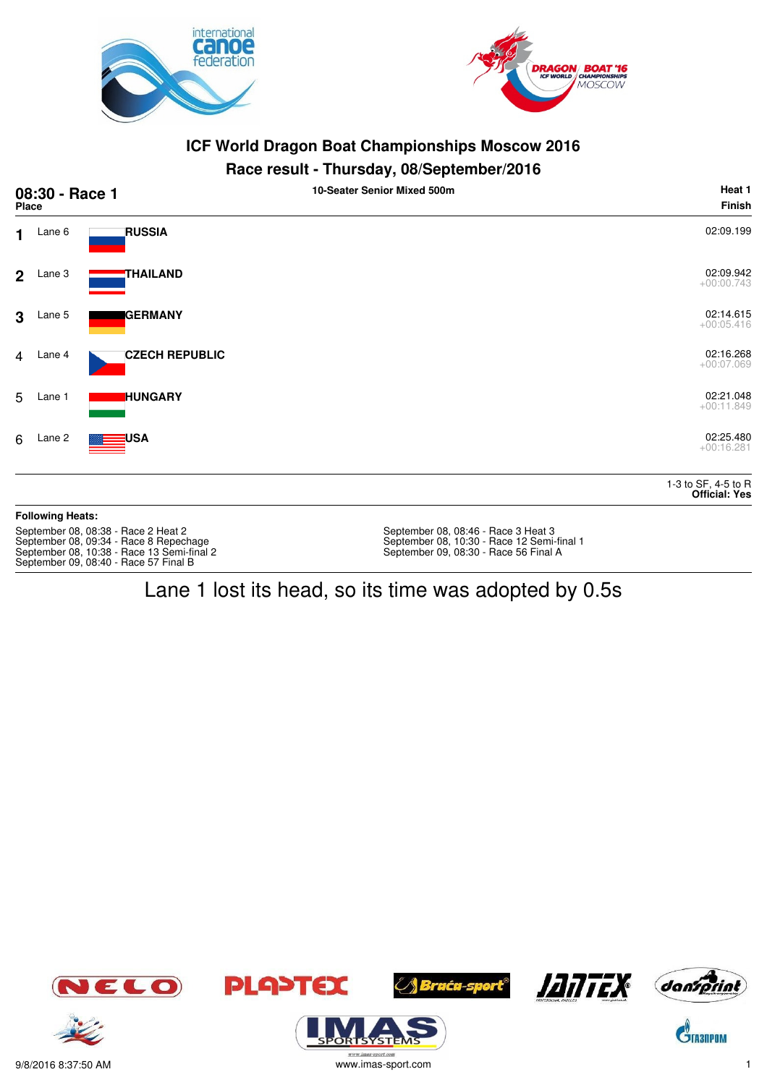



#### **Race result - Thursday, 08/September/2016**

| 08:30 - Race 1<br><b>Place</b> |                         |                                                                                                                             | . <sub>.</sub> ,<br>----- <b>-</b><br>10-Seater Senior Mixed 500m                                                          | Heat 1<br><b>Finish</b>                     |
|--------------------------------|-------------------------|-----------------------------------------------------------------------------------------------------------------------------|----------------------------------------------------------------------------------------------------------------------------|---------------------------------------------|
| $\mathbf{1}$                   | Lane 6                  | <b>RUSSIA</b>                                                                                                               |                                                                                                                            | 02:09.199                                   |
| 2 <sup>1</sup>                 | Lane 3                  | THAILAND                                                                                                                    |                                                                                                                            | 02:09.942<br>$+00:00.743$                   |
| $\mathbf{3}$                   | Lane 5                  | <b>GERMANY</b>                                                                                                              |                                                                                                                            | 02:14.615<br>$+00:05.416$                   |
| $\overline{4}$                 | Lane 4                  | <b>CZECH REPUBLIC</b>                                                                                                       |                                                                                                                            | 02:16.268<br>$+00:07.069$                   |
| 5                              | Lane 1                  | <b>HUNGARY</b>                                                                                                              |                                                                                                                            | 02:21.048<br>$+00:11.849$                   |
| 6                              | Lane 2                  | USA                                                                                                                         |                                                                                                                            | 02:25.480<br>$+00:16.281$                   |
|                                |                         |                                                                                                                             |                                                                                                                            | 1-3 to SF, 4-5 to R<br><b>Official: Yes</b> |
|                                | <b>Following Heats:</b> |                                                                                                                             |                                                                                                                            |                                             |
|                                |                         | September 08, 08:38 - Race 2 Heat 2<br>September 08, 09:34 - Race 8 Repechage<br>September 08, 10:38 - Race 13 Semi-final 2 | September 08, 08:46 - Race 3 Heat 3<br>September 08, 10:30 - Race 12 Semi-final 1<br>September 09, 08:30 - Race 56 Final A |                                             |

# Lane 1 lost its head, so its time was adopted by 0.5s





September 09, 08:40 - Race 57 Final B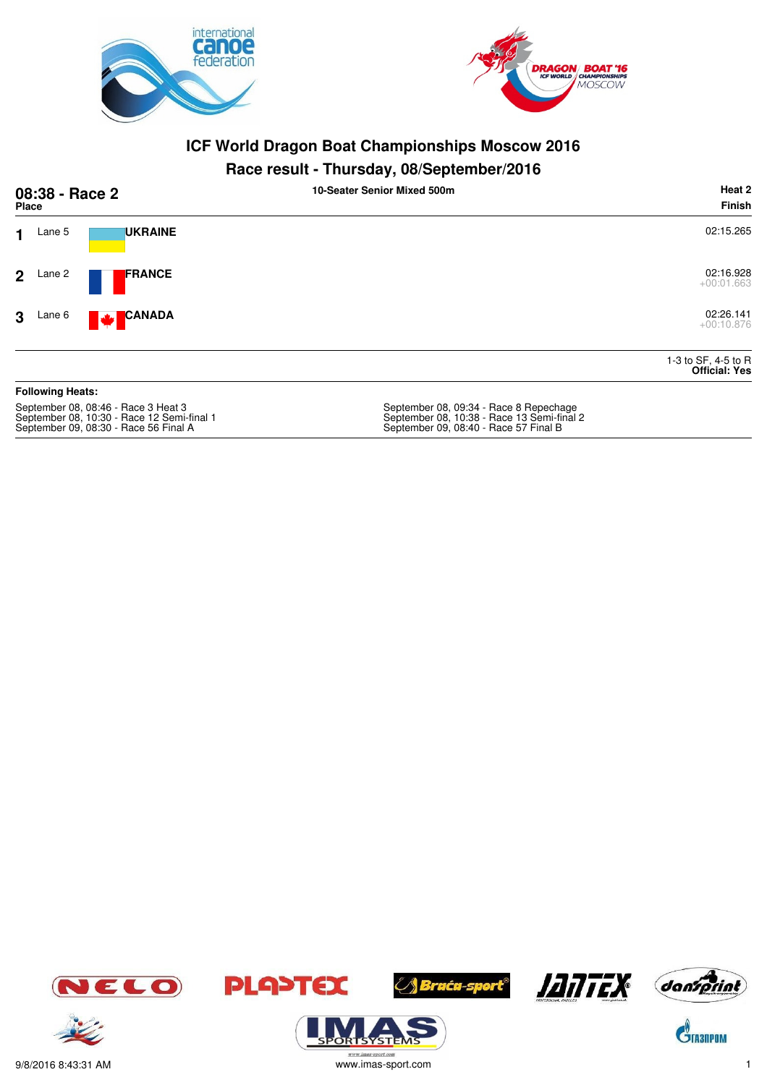



#### **Race result - Thursday, 08/September/2016**

| 08:38 - Race 2<br><b>Place</b>               | Heat 2<br>10-Seater Senior Mixed 500m<br><b>Finish</b> |
|----------------------------------------------|--------------------------------------------------------|
| <b>UKRAINE</b><br>Lane 5<br>1                | 02:15.265                                              |
| <b>FRANCE</b><br>2 <sup>1</sup><br>Lane 2    | 02:16.928<br>$+00:01.663$                              |
| <b>CANADA</b><br>Lane 6<br>3<br>$\mathbf{r}$ | 02:26.141<br>$+00:10.876$                              |
|                                              | 1-3 to SF, 4-5 to R<br><b>Official: Yes</b>            |
| <b>Following Heats:</b>                      |                                                        |
|                                              |                                                        |

September 08, 08:46 - Race 3 Heat 3 September 08, 09:34 - Race 8 Repechage September 09, 08:30 - Race 56 Final A September 09, 08:40 - Race 57 Final B

September 08, 09:34 - Race 8 Repechage<br>September 08, 10:38 - Race 13 Semi-final 2<br>September 09, 08:40 - Race 57 Final B







**ORISYSTE** 







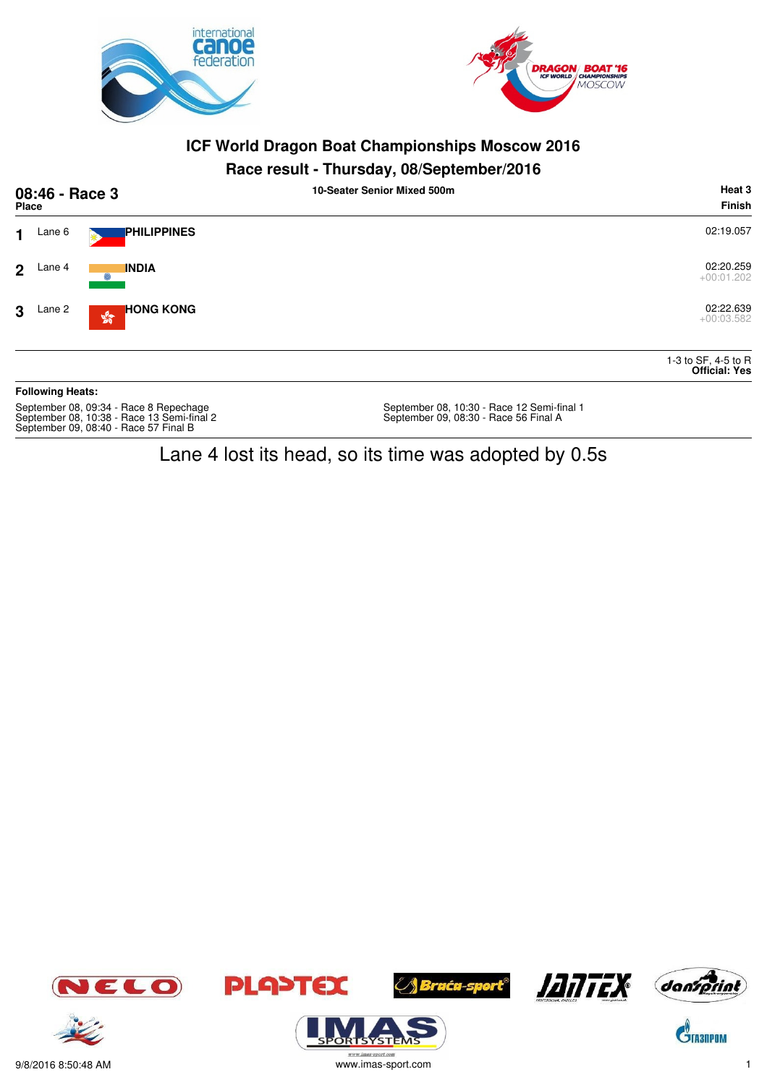



#### **Race result - Thursday, 08/September/2016**

| 08:46 - Race 3<br><b>Place</b>                                                                                                |                         |                                                  | . .<br>10-Seater Senior Mixed 500m                                                  | Heat 3<br><b>Finish</b>                     |
|-------------------------------------------------------------------------------------------------------------------------------|-------------------------|--------------------------------------------------|-------------------------------------------------------------------------------------|---------------------------------------------|
| 1                                                                                                                             | Lane 6                  | <b>PHILIPPINES</b>                               |                                                                                     | 02:19.057                                   |
| $\mathcal{P}$                                                                                                                 | Lane 4                  | <b>INDIA</b><br>6                                |                                                                                     | 02:20.259<br>$+00:01.202$                   |
| 3                                                                                                                             | Lane 2                  | <b>HONG KONG</b><br>$\frac{\sqrt{3}}{2\sqrt{3}}$ |                                                                                     | 02:22.639<br>$+00:03.582$                   |
|                                                                                                                               |                         |                                                  |                                                                                     | 1-3 to SF, 4-5 to R<br><b>Official: Yes</b> |
|                                                                                                                               | <b>Following Heats:</b> |                                                  |                                                                                     |                                             |
| September 08, 09:34 - Race 8 Repechage<br>September 08, 10:38 - Race 13 Semi-final 2<br>September 09, 08:40 - Race 57 Final B |                         |                                                  | September 08, 10:30 - Race 12 Semi-final 1<br>September 09, 08:30 - Race 56 Final A |                                             |

Lane 4 lost its head, so its time was adopted by 0.5s



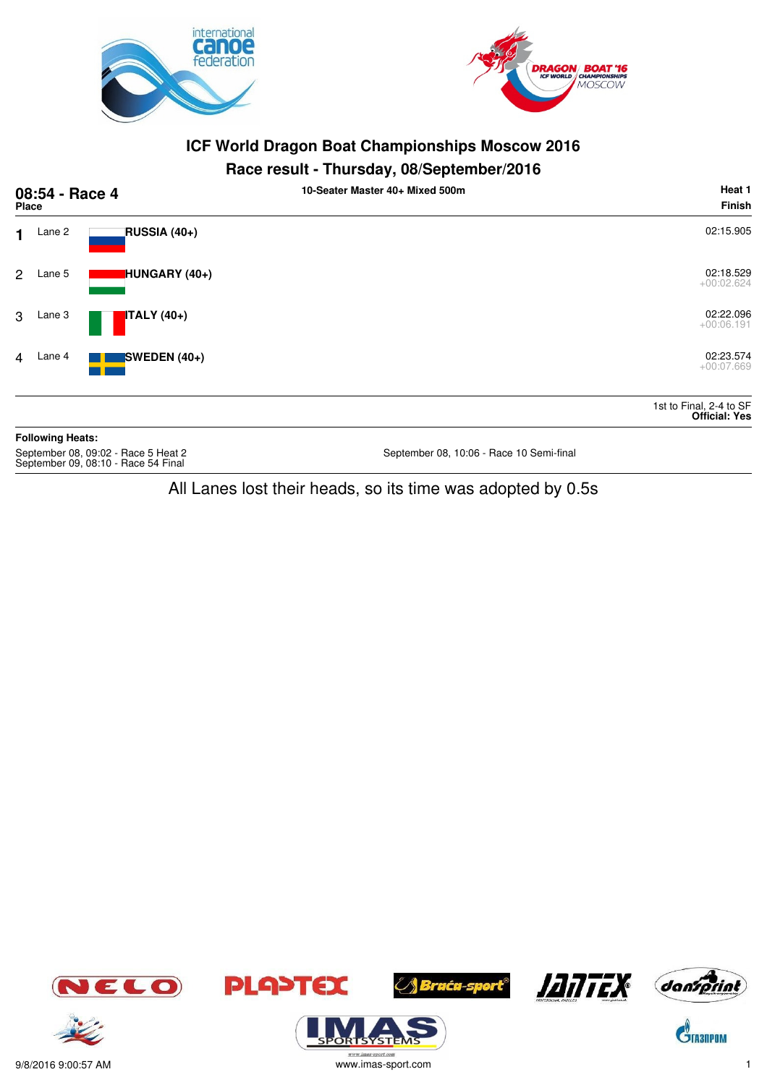



#### **Race result - Thursday, 08/September/2016**

|                | 08:54 - Race 4<br><b>Place</b> |                | 10-Seater Master 40+ Mixed 500m | Heat 1<br><b>Finish</b>                         |
|----------------|--------------------------------|----------------|---------------------------------|-------------------------------------------------|
| $\mathbf 1$    | Lane 2                         | RUSSIA (40+)   |                                 | 02:15.905                                       |
| $\mathbf{2}$   | Lane 5                         | HUNGARY (40+)  |                                 | 02:18.529<br>$+00:02.624$                       |
| 3              | Lane 3                         | $ITALY(40+)$   |                                 | 02:22.096<br>$+00:06.191$                       |
| $\overline{4}$ | Lane 4                         | SWEDEN $(40+)$ |                                 | 02:23.574<br>$+00:07.669$                       |
|                |                                |                |                                 | 1st to Final, 2-4 to SF<br><b>Official: Yes</b> |
|                | <b>Following Heats:</b>        |                |                                 |                                                 |

September 08, 09:02 - Race 5 Heat 2<br>September 09, 08:10 - Race 54 Final

September 08, 10:06 - Race 10 Semi-final

All Lanes lost their heads, so its time was adopted by 0.5s



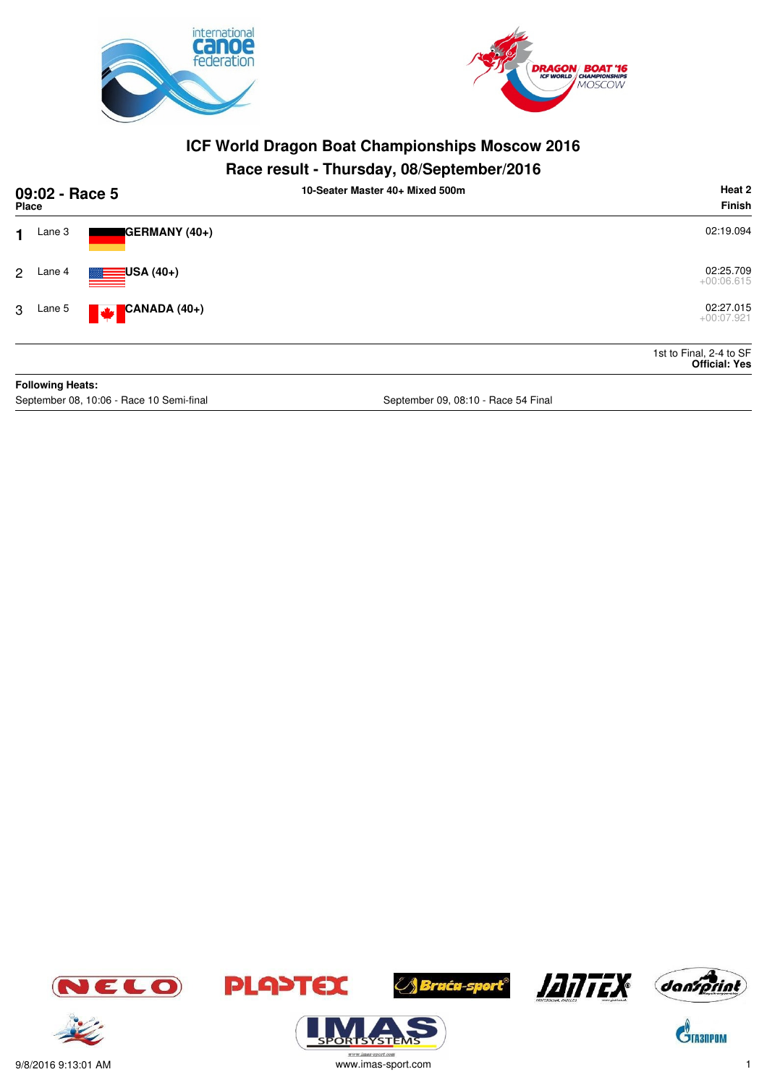



## **Race result - Thursday, 08/September/2016**

| 09:02 - Race 5<br>Place |                         |                                 | 10-Seater Master 40+ Mixed 500m | Heat 2<br>Finish                                |
|-------------------------|-------------------------|---------------------------------|---------------------------------|-------------------------------------------------|
| 1                       | Lane 3                  | GERMANY (40+)                   |                                 | 02:19.094                                       |
| 2                       | Lane 4                  | $\blacksquare$ USA (40+)        |                                 | 02:25.709<br>$+00:06.615$                       |
| 3                       | Lane 5                  | CANADA (40+)<br><b>Since 19</b> |                                 | 02:27.015<br>$+00:07.921$                       |
|                         |                         |                                 |                                 | 1st to Final, 2-4 to SF<br><b>Official: Yes</b> |
|                         | <b>Following Heats:</b> |                                 |                                 |                                                 |

September 08, 10:06 - Race 10 Semi-final September 09, 08:10 - Race 54 Final



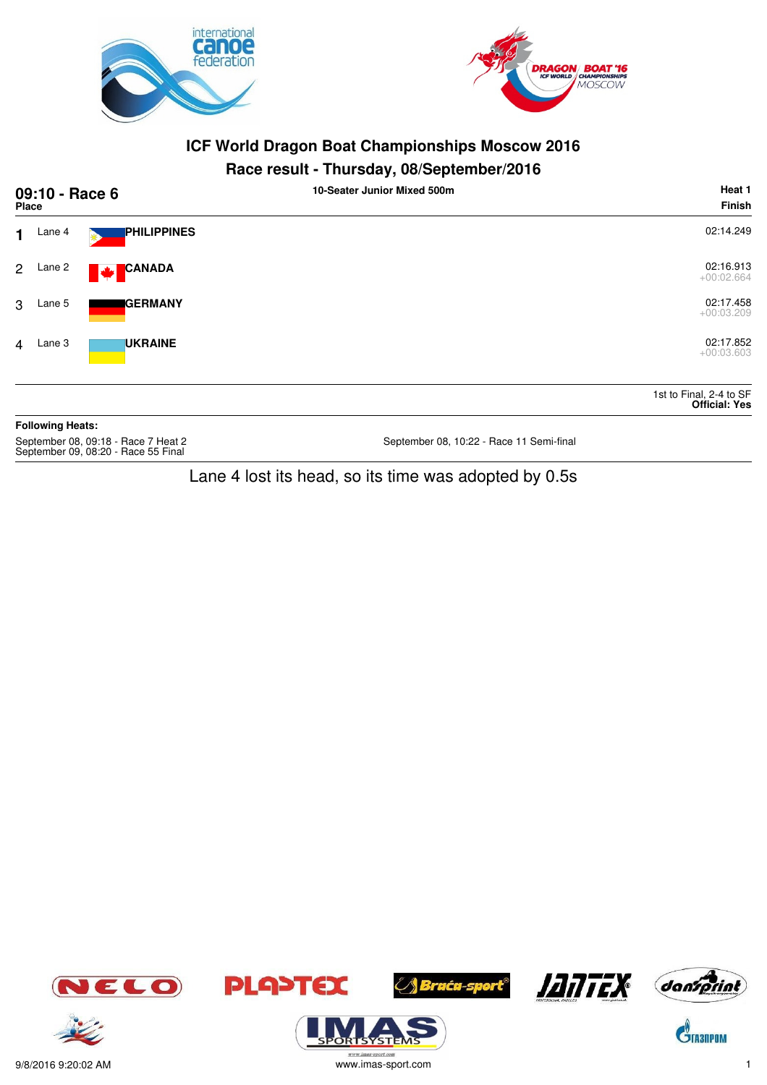

September 09, 08:20 - Race 55 Final



## **ICF World Dragon Boat Championships Moscow 2016**

## **Race result - Thursday, 08/September/2016**

|                | 09:10 - Race 6<br>Place |                                     | 10-Seater Junior Mixed 500m              | Heat 1<br><b>Finish</b>                         |
|----------------|-------------------------|-------------------------------------|------------------------------------------|-------------------------------------------------|
| 1.             | Lane 4                  | <b>PHILIPPINES</b>                  |                                          | 02:14.249                                       |
| $2^{\circ}$    | Lane 2                  | <b>CANADA</b><br><b>Maria</b>       |                                          | 02:16.913<br>$+00:02.664$                       |
| 3              | Lane 5                  | <b>GERMANY</b>                      |                                          | 02:17.458<br>$+00:03.209$                       |
| $\overline{4}$ | Lane 3                  | <b>UKRAINE</b>                      |                                          | 02:17.852<br>$+00:03.603$                       |
|                |                         |                                     |                                          | 1st to Final, 2-4 to SF<br><b>Official: Yes</b> |
|                | <b>Following Heats:</b> |                                     |                                          |                                                 |
|                |                         | September 08, 09:18 - Race 7 Heat 2 | September 08, 10:22 - Race 11 Semi-final |                                                 |

Lane 4 lost its head, so its time was adopted by 0.5s



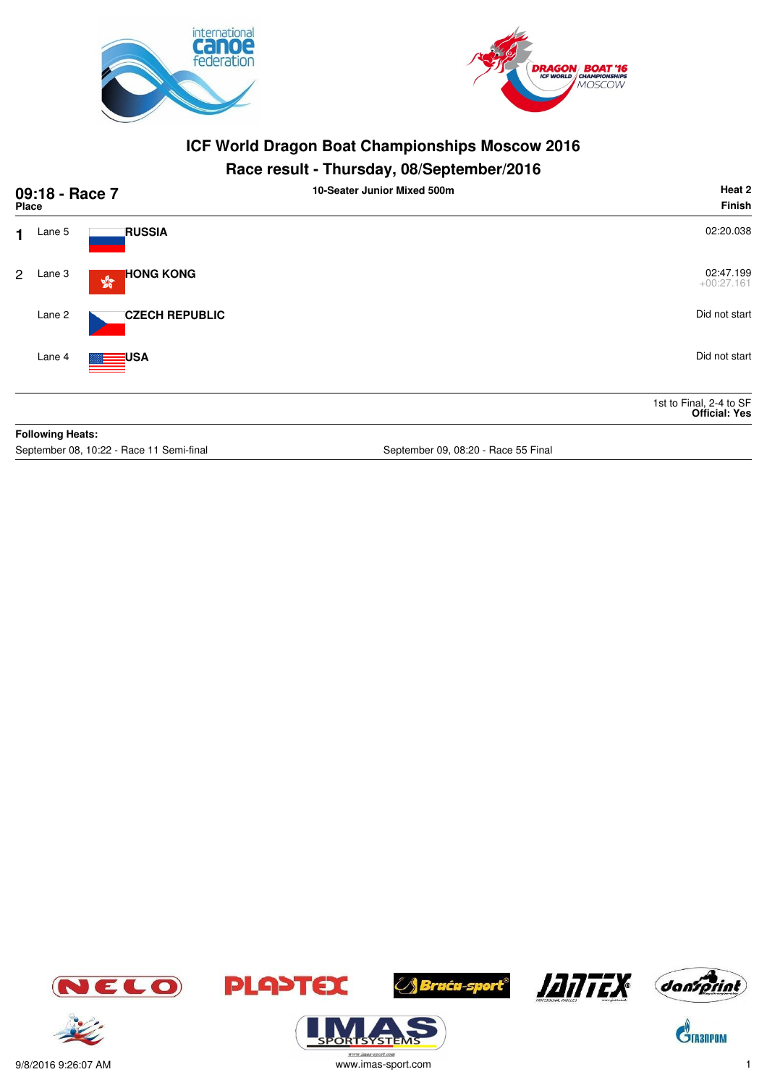



## **Race result - Thursday, 08/September/2016**

|                | 09:18 - Race 7<br>Place |                                                      | Heat 2<br>10-Seater Junior Mixed 500m<br><b>Finish</b> |
|----------------|-------------------------|------------------------------------------------------|--------------------------------------------------------|
| 1              | Lane 5                  | <b>RUSSIA</b>                                        | 02:20.038                                              |
| $\overline{2}$ | Lane 3                  | <b>HONG KONG</b><br>$\frac{\partial}{\partial \phi}$ | 02:47.199<br>$+00:27.161$                              |
|                | Lane 2                  | <b>CZECH REPUBLIC</b>                                | Did not start                                          |
|                | Lane 4                  | <b>Example 1</b> USA                                 | Did not start                                          |
|                |                         |                                                      | 1st to Final, 2-4 to SF<br><b>Official: Yes</b>        |
|                | <b>Following Heats:</b> |                                                      |                                                        |

September 08, 10:22 - Race 11 Semi-final September 09, 08:20 - Race 55 Final









*A Bruću-sport®* 





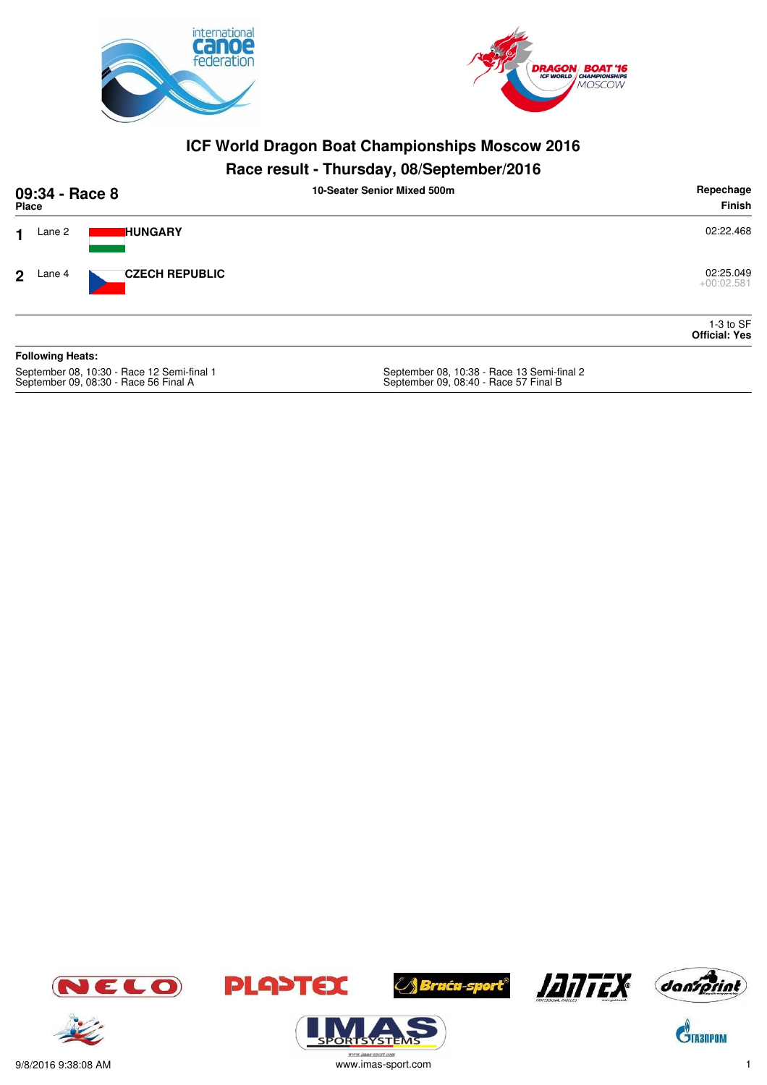



# **Race result - Thursday, 08/September/2016**

|                | 09:34 - Race 8<br>Place |                                          | 10-Seater Senior Mixed 500m               | Repechage<br>Finish                 |
|----------------|-------------------------|------------------------------------------|-------------------------------------------|-------------------------------------|
| 1              | Lane 2                  | <b>HUNGARY</b>                           |                                           | 02:22.468                           |
| 2 <sup>1</sup> | Lane 4                  | <b>CZECH REPUBLIC</b>                    |                                           | 02:25.049<br>$+00:02.581$           |
|                |                         |                                          |                                           | $1-3$ to SF<br><b>Official: Yes</b> |
|                | <b>Following Heats:</b> |                                          |                                           |                                     |
|                |                         | Soptamber 08, 10:20 Page 12 Sami final 1 | Soptember 08, 10:28, Pace 12 Semi final 2 |                                     |

September 08, 10:30 - Race 12 Semi-final 1<br>September 09, 08:30 - Race 56 Final A

September 08, 10:38 - Race 13 Semi-final 2<br>September 09, 08:40 - Race 57 Final B















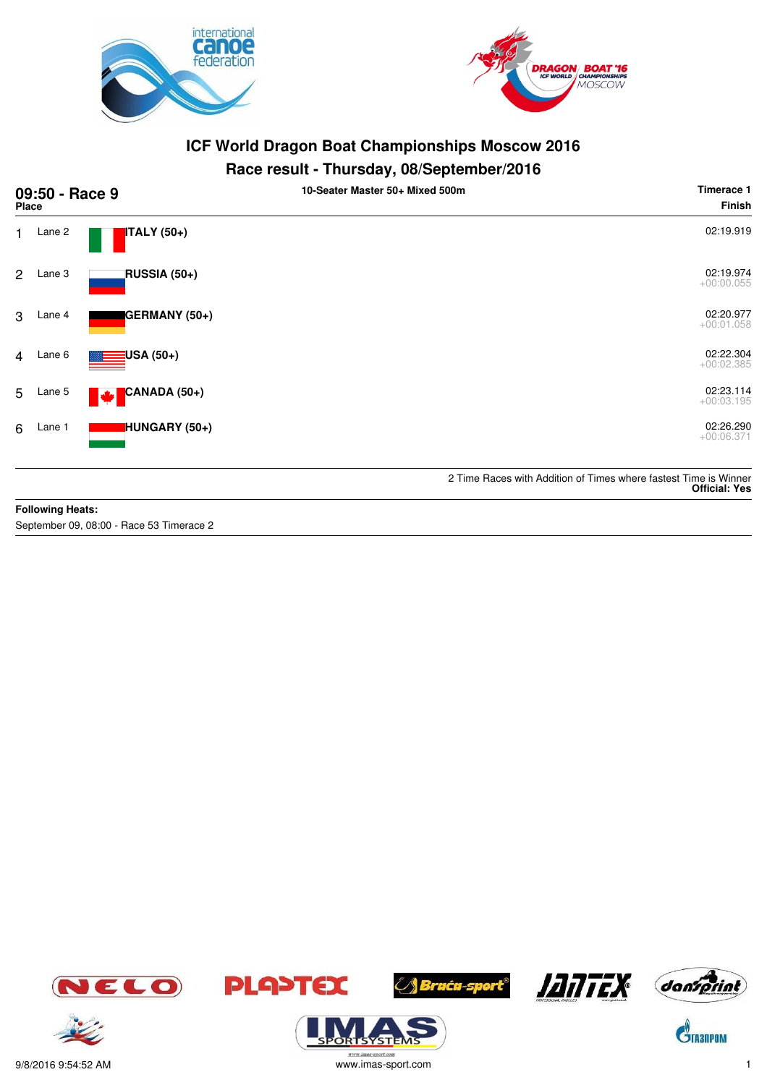



## **Race result - Thursday, 08/September/2016**

| <b>Place</b>   | 09:50 - Race 9 |                          | 10-Seater Master 50+ Mixed 500m | Timerace 1<br><b>Finish</b>                                                              |
|----------------|----------------|--------------------------|---------------------------------|------------------------------------------------------------------------------------------|
| 1.             | Lane 2         | ITALY (50+)              |                                 | 02:19.919                                                                                |
| $\overline{2}$ | Lane 3         | RUSSIA (50+)             |                                 | 02:19.974<br>$+00:00.055$                                                                |
| 3              | Lane 4         | GERMANY (50+)            |                                 | 02:20.977<br>$+00:01.058$                                                                |
| $\overline{4}$ | Lane 6         | <mark>:</mark> USA (50+) |                                 | 02:22.304<br>$+00:02.385$                                                                |
| 5              | Lane 5         | CANADA (50+)<br>M        |                                 | 02:23.114<br>$+00:03.195$                                                                |
| 6              | Lane 1         | <b>HUNGARY</b> (50+)     |                                 | 02:26.290<br>$+00:06.371$                                                                |
|                |                |                          |                                 | 2 Time Races with Addition of Times where fastest Time is Winner<br><b>Official: Yes</b> |

#### **Following Heats:**

September 09, 08:00 - Race 53 Timerace 2









 $\sqrt{5}$ 





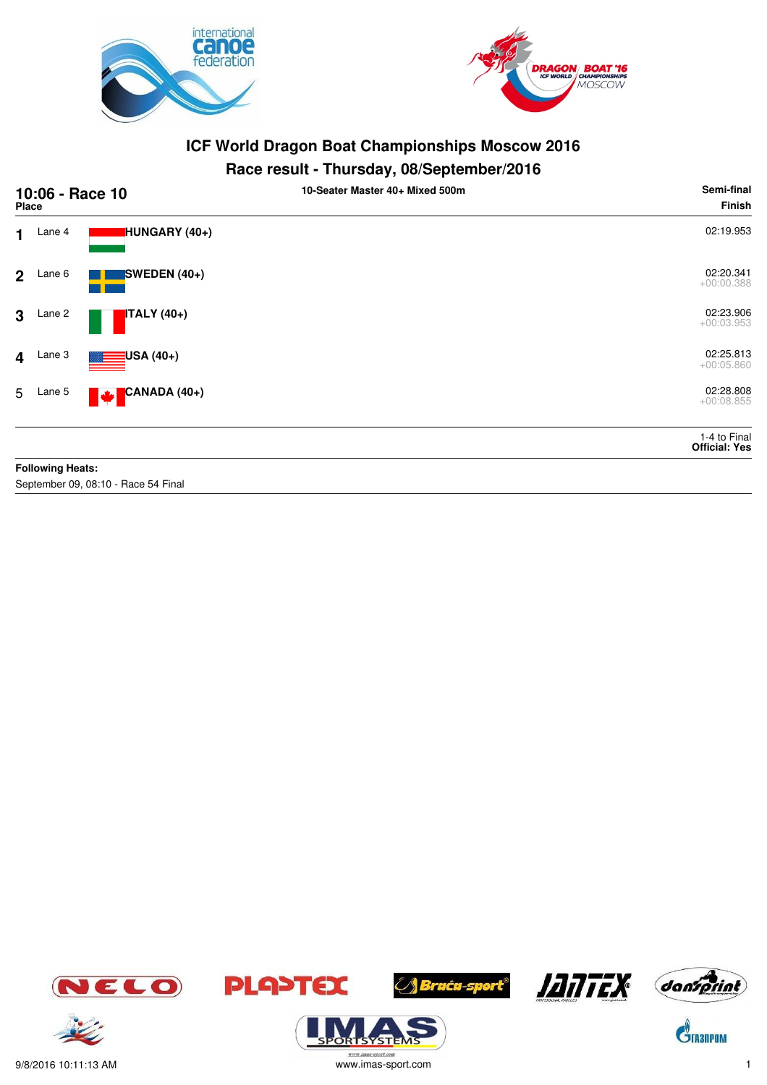



## **Race result - Thursday, 08/September/2016**

| 10:06 - Race 10<br><b>Place</b> |                         |                                     | 10-Seater Master 40+ Mixed 500m | Semi-final<br><b>Finish</b>          |
|---------------------------------|-------------------------|-------------------------------------|---------------------------------|--------------------------------------|
| $\mathbf 1$                     | Lane 4                  | HUNGARY (40+)                       |                                 | 02:19.953                            |
| $2^{\circ}$                     | Lane 6                  | SWEDEN (40+)                        |                                 | 02:20.341<br>$+00:00.388$            |
| $\mathbf{3}$                    | Lane 2                  | <b>ITALY</b> (40+)                  |                                 | 02:23.906<br>$+00:03.953$            |
| $\overline{\mathbf{4}}$         | Lane 3                  | $\blacksquare$ USA (40+)            |                                 | 02:25.813<br>$+00:05.860$            |
|                                 | 5 Lane 5                | $\blacktriangleright$ CANADA (40+)  |                                 | 02:28.808<br>$+00:08.855$            |
|                                 |                         |                                     |                                 | 1-4 to Final<br><b>Official: Yes</b> |
|                                 | <b>Following Heats:</b> |                                     |                                 |                                      |
|                                 |                         | September 09, 08:10 - Race 54 Final |                                 |                                      |







**ORTSYSTER** 







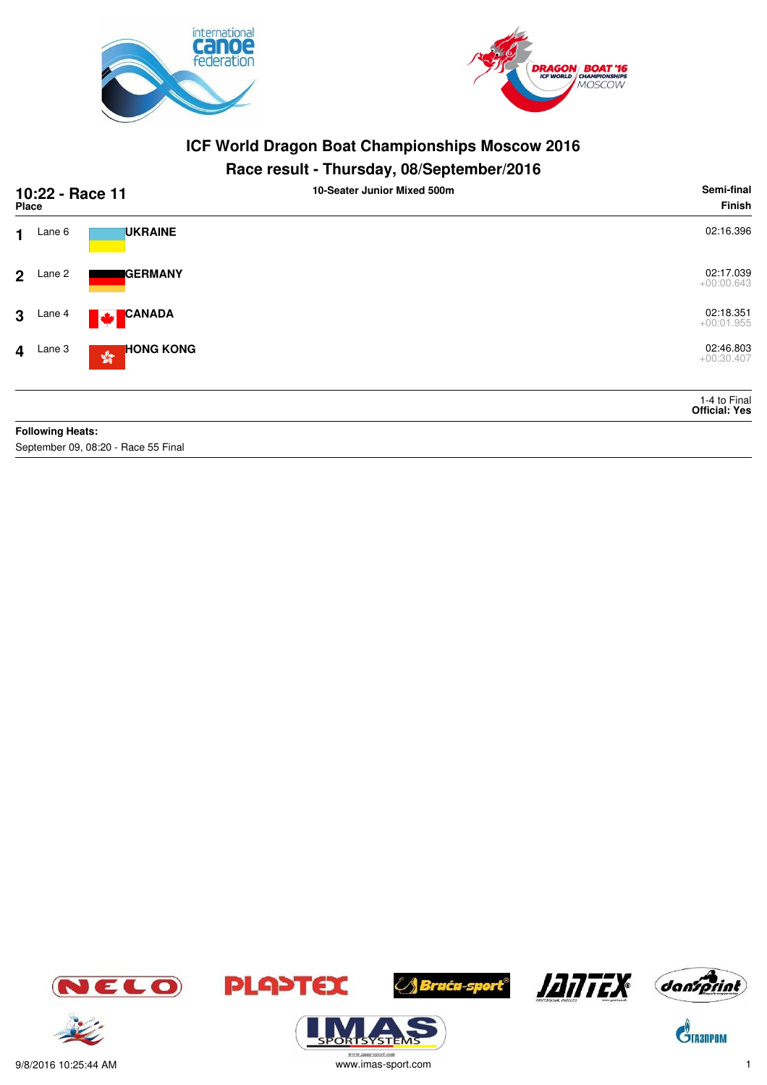



#### **Race result - Thursday, 08/September/2016**

|                | 10:22 - Race 11<br><b>Place</b> |                                                            | . .<br>10-Seater Junior Mixed 500m | Semi-final<br>Finish                 |
|----------------|---------------------------------|------------------------------------------------------------|------------------------------------|--------------------------------------|
| 1.             | Lane 6                          | <b>UKRAINE</b>                                             |                                    | 02:16.396                            |
| 2 <sup>1</sup> | Lane 2                          | <b>I</b> GERMANY                                           |                                    | 02:17.039<br>$+00:00.643$            |
| 3 <sup>1</sup> | Lane 4                          | <b>CANADA</b><br>M                                         |                                    | 02:18.351<br>$+00:01.955$            |
|                | $4$ Lane 3                      | <b>HONG KONG</b><br>$\mathbf{S}^{\mathbf{G}}_{\mathbf{G}}$ |                                    | 02:46.803<br>$+00:30.407$            |
|                |                                 |                                                            |                                    | 1-4 to Final<br><b>Official: Yes</b> |
|                | <b>Following Heats:</b>         |                                                            |                                    |                                      |

September 09, 08:20 - Race 55 Final















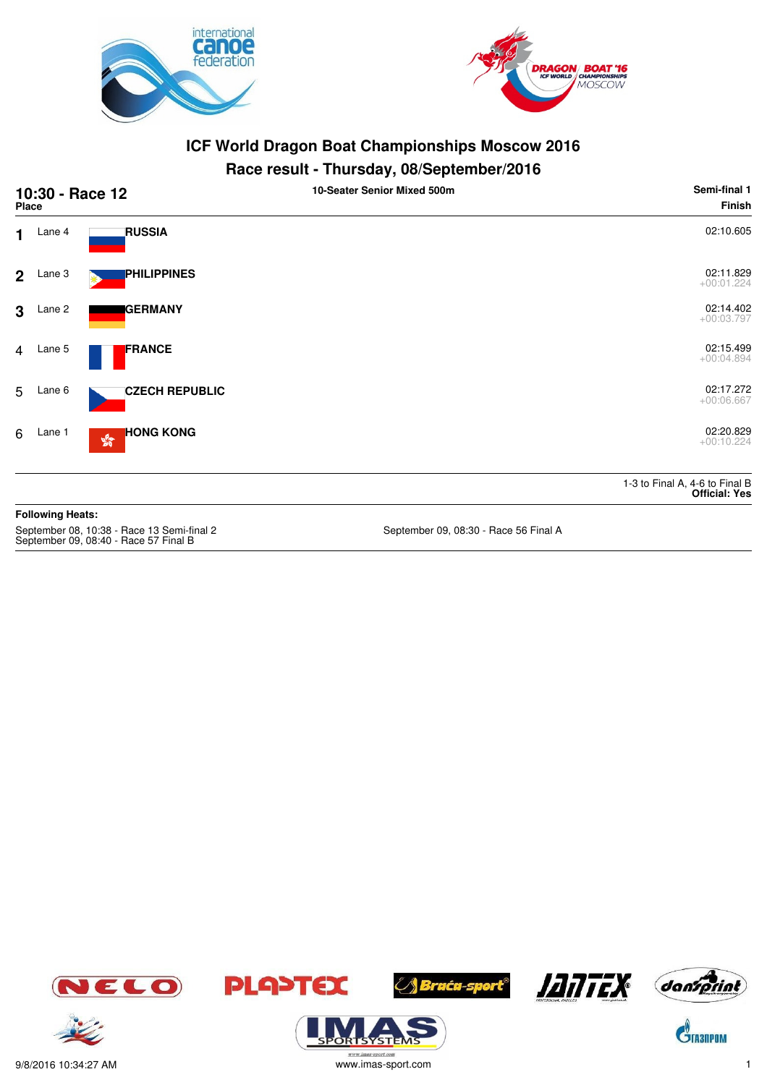



#### **Race result - Thursday, 08/September/2016**

| 10:30 - Race 12<br><b>Place</b>                                                     |                         |                                                         | 10-Seater Senior Mixed 500m           | Semi-final 1<br><b>Finish</b>                          |
|-------------------------------------------------------------------------------------|-------------------------|---------------------------------------------------------|---------------------------------------|--------------------------------------------------------|
| 1                                                                                   | Lane 4                  | <b>RUSSIA</b>                                           |                                       | 02:10.605                                              |
| $\mathbf{2}$                                                                        | Lane 3                  | <b>PHILIPPINES</b>                                      |                                       | 02:11.829<br>$+00:01.224$                              |
| 3                                                                                   | Lane 2                  | <b>GERMANY</b>                                          |                                       | 02:14.402<br>$+00:03.797$                              |
| $\overline{4}$                                                                      | Lane 5                  | <b>FRANCE</b>                                           |                                       | 02:15.499<br>$+00:04.894$                              |
| 5                                                                                   | Lane 6                  | <b>CZECH REPUBLIC</b>                                   |                                       | 02:17.272<br>$+00:06.667$                              |
| 6                                                                                   | Lane 1                  | <b>HONG KONG</b><br>$\mathcal{E}^{\text{S}}_{\text{S}}$ |                                       | 02:20.829<br>$+00:10.224$                              |
|                                                                                     |                         |                                                         |                                       | 1-3 to Final A, 4-6 to Final B<br><b>Official: Yes</b> |
|                                                                                     | <b>Following Heats:</b> |                                                         |                                       |                                                        |
| September 08, 10:38 - Race 13 Semi-final 2<br>September 09, 08:40 - Race 57 Final B |                         |                                                         | September 09, 08:30 - Race 56 Final A |                                                        |













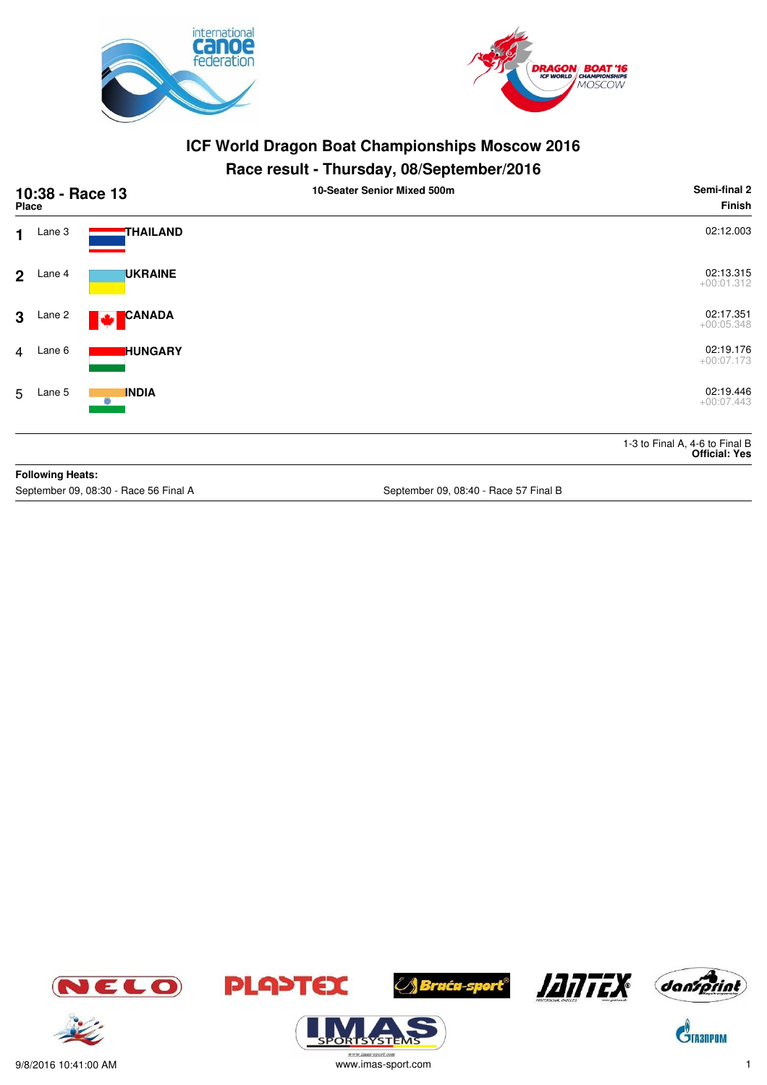



## **Race result - Thursday, 08/September/2016**

| 10:38 - Race 13<br><b>Place</b> |                         |                                       | 10-Seater Senior Mixed 500m           | Semi-final 2<br><b>Finish</b>                          |
|---------------------------------|-------------------------|---------------------------------------|---------------------------------------|--------------------------------------------------------|
| $\blacksquare$                  | Lane 3                  | <b>THAILAND</b>                       |                                       | 02:12.003                                              |
| $\overline{2}$                  | Lane 4                  | <b>UKRAINE</b>                        |                                       | 02:13.315<br>$+00:01.312$                              |
| 3                               | Lane 2                  | CANADA<br>M                           |                                       | 02:17.351<br>$+00:05.348$                              |
| $\overline{4}$                  | Lane 6                  | <b>I</b> HUNGARY                      |                                       | 02:19.176<br>$+00:07.173$                              |
| 5                               | Lane 5                  | <b>INDIA</b><br>6                     |                                       | 02:19.446<br>$+00:07.443$                              |
|                                 |                         |                                       |                                       | 1-3 to Final A, 4-6 to Final B<br><b>Official: Yes</b> |
|                                 | <b>Following Heats:</b> |                                       |                                       |                                                        |
|                                 |                         | September 09, 08:30 - Race 56 Final A | September 09, 08:40 - Race 57 Final B |                                                        |

ELO







.<br>syste







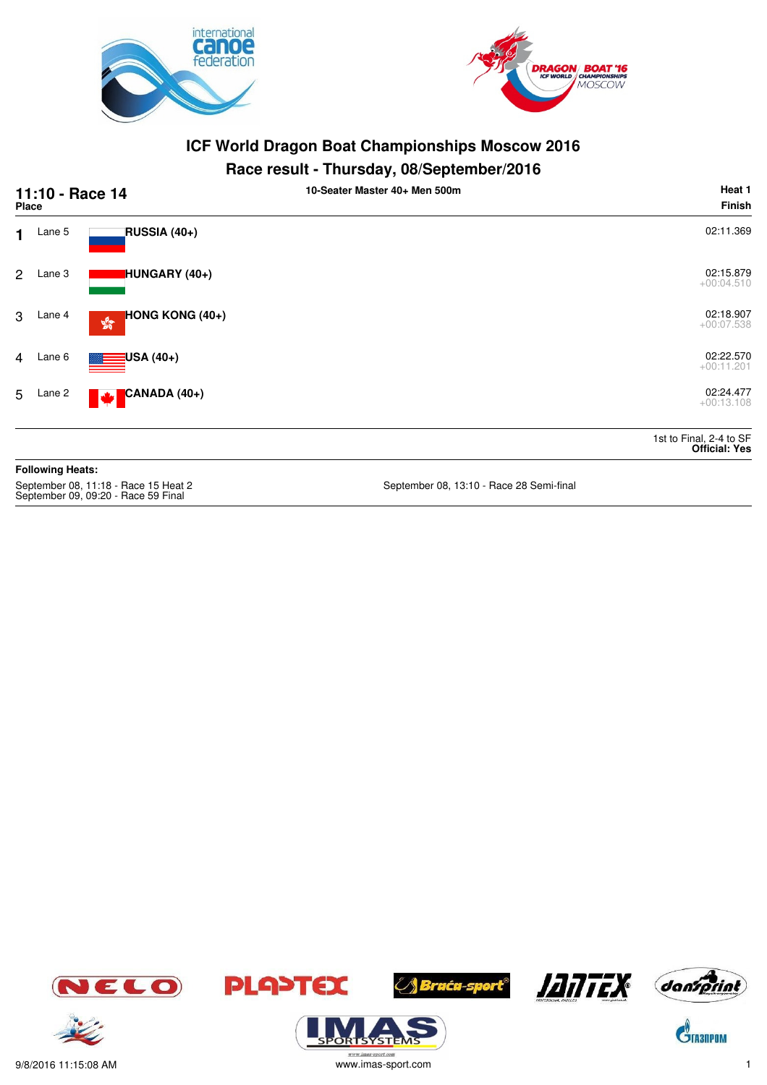



## **Race result - Thursday, 08/September/2016**

| 11:10 - Race 14<br><b>Place</b>                                             |                         |                                                        | 10-Seater Master 40+ Men 500m            | Heat 1<br><b>Finish</b>                         |
|-----------------------------------------------------------------------------|-------------------------|--------------------------------------------------------|------------------------------------------|-------------------------------------------------|
| 1.                                                                          | Lane 5                  | RUSSIA (40+)                                           |                                          | 02:11.369                                       |
| $\mathbf{2}$                                                                | Lane 3                  | HUNGARY (40+)                                          |                                          | 02:15.879<br>$+00:04.510$                       |
| 3                                                                           | Lane 4                  | <b>HONG KONG (40+)</b><br>$\frac{\sqrt{3}}{2\sqrt{3}}$ |                                          | 02:18.907<br>$+00:07.538$                       |
| $\overline{4}$                                                              | Lane 6                  | USA (40+)                                              |                                          | 02:22.570<br>$+00:11.201$                       |
| 5                                                                           | Lane 2                  | CANADA (40+)<br><b>A</b>                               |                                          | 02:24.477<br>$+00:13.108$                       |
|                                                                             |                         |                                                        |                                          | 1st to Final, 2-4 to SF<br><b>Official: Yes</b> |
|                                                                             | <b>Following Heats:</b> |                                                        |                                          |                                                 |
| September 08, 11:18 - Race 15 Heat 2<br>September 09, 09:20 - Race 59 Final |                         |                                                        | September 08, 13:10 - Race 28 Semi-final |                                                 |









**ORISYSTE** 







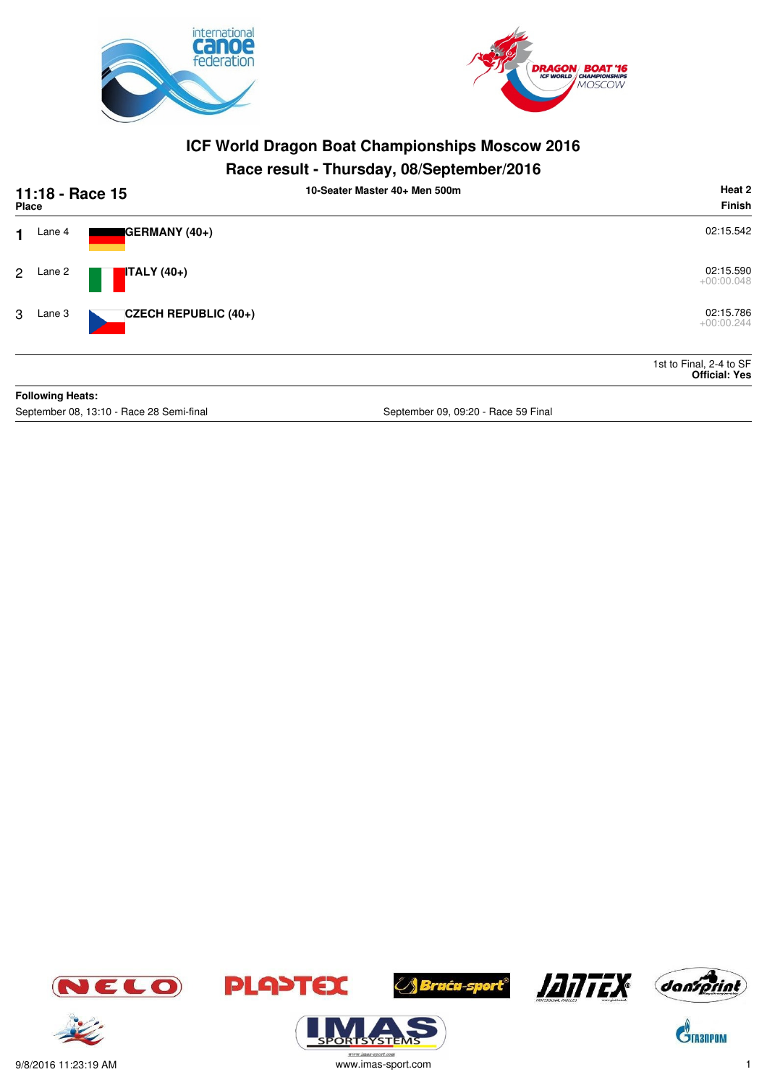



## **Race result - Thursday, 08/September/2016**

| 11:18 - Race 15<br>Place |                         |                            | 10-Seater Master 40+ Men 500m | Heat 2<br>Finish                                |
|--------------------------|-------------------------|----------------------------|-------------------------------|-------------------------------------------------|
| 1                        | Lane 4                  | GERMANY (40+)              |                               | 02:15.542                                       |
| $\mathbf{2}$             | Lane 2                  | $\blacksquare$ ITALY (40+) |                               | 02:15.590<br>$+00:00.048$                       |
| 3                        | Lane 3                  | CZECH REPUBLIC (40+)       |                               | 02:15.786<br>$+00:00.244$                       |
|                          |                         |                            |                               | 1st to Final, 2-4 to SF<br><b>Official: Yes</b> |
|                          | <b>Following Heats:</b> |                            |                               |                                                 |

September 08, 13:10 - Race 28 Semi-final September 09, 09:20 - Race 59 Final September 09, 09:20 - Race 59 Final









**⊘∫ Braća-sport®** 



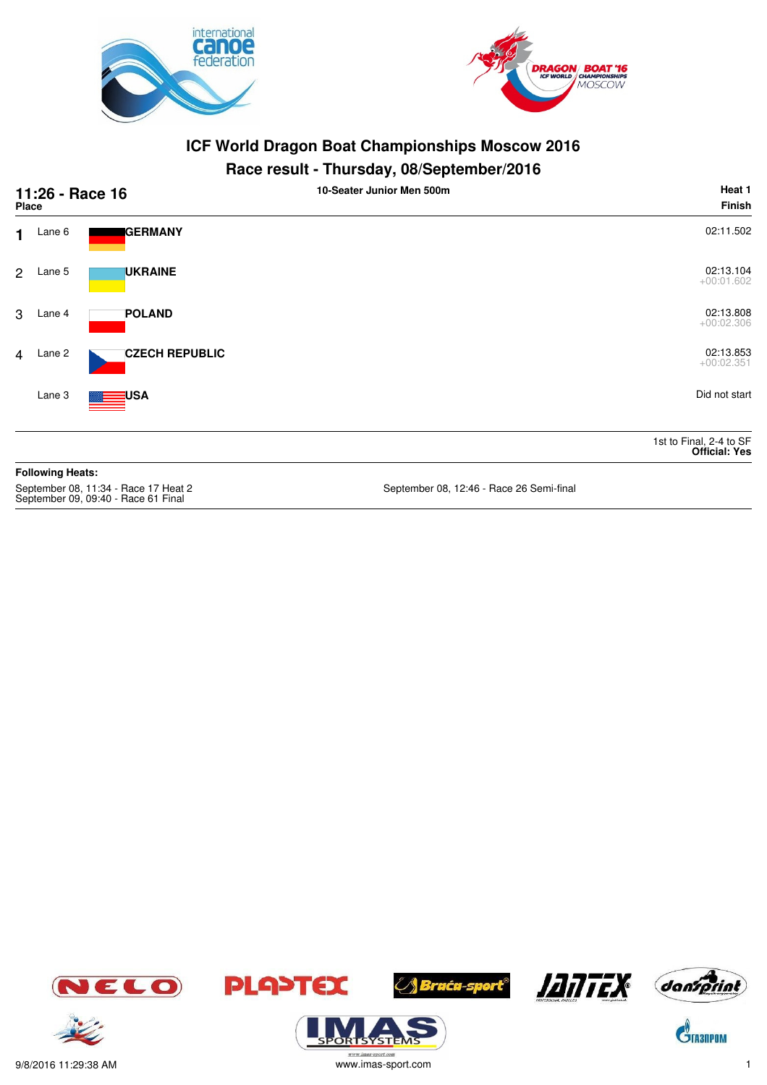



## **Race result - Thursday, 08/September/2016**

| Place          |                         | 11:26 - Race 16       | 10-Seater Junior Men 500m | Heat 1<br>Finish                                |
|----------------|-------------------------|-----------------------|---------------------------|-------------------------------------------------|
| $\mathbf 1$    | Lane 6                  | GERMANY               |                           | 02:11.502                                       |
| $\overline{2}$ | Lane 5                  | <b>UKRAINE</b>        |                           | 02:13.104<br>$+00:01.602$                       |
| 3              | Lane 4                  | <b>POLAND</b>         |                           | 02:13.808<br>$+00:02.306$                       |
|                | 4 Lane 2                | <b>CZECH REPUBLIC</b> |                           | 02:13.853<br>$+00:02.351$                       |
|                | Lane 3                  | <b>ENSA</b>           |                           | Did not start                                   |
|                |                         |                       |                           | 1st to Final, 2-4 to SF<br><b>Official: Yes</b> |
|                | <b>Following Heats:</b> |                       |                           |                                                 |

September 08, 11:34 - Race 17 Heat 2<br>September 09, 09:40 - Race 61 Final

September 08, 12:46 - Race 26 Semi-final





**ORISYSTE** 







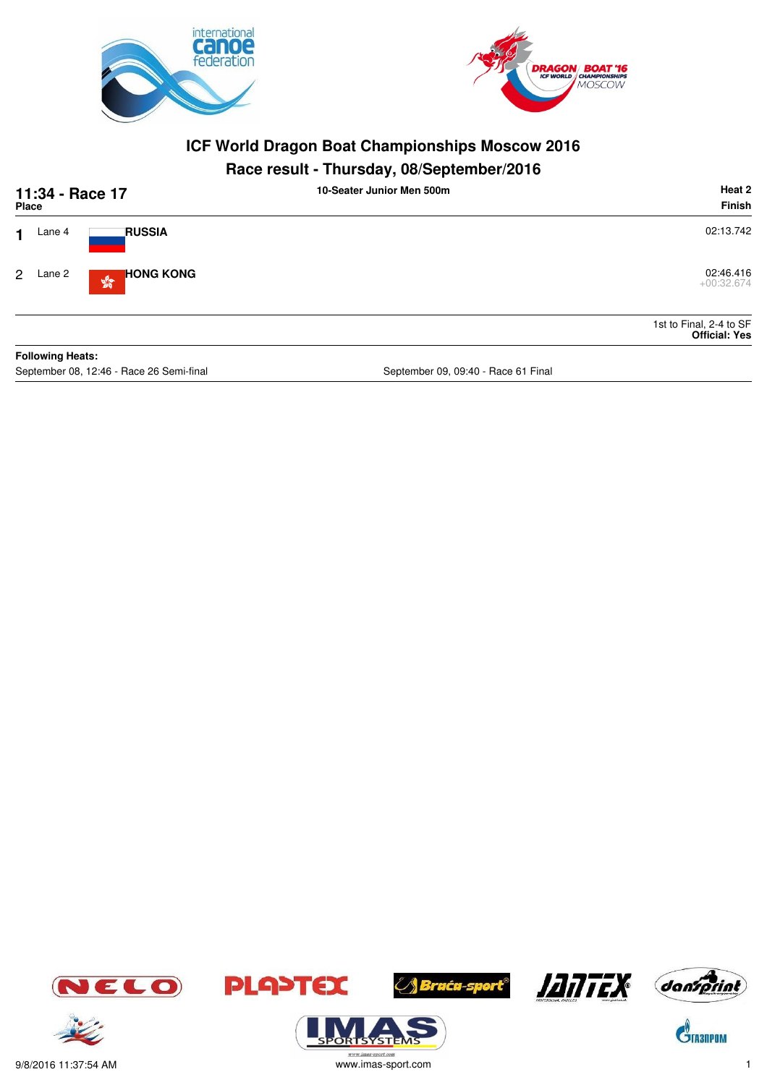



## **Race result - Thursday, 08/September/2016**

|                      | 11:34 - Race 17<br><b>Place</b> |                                                   | 10-Seater Junior Men 500m | Heat 2<br>Finish                                |
|----------------------|---------------------------------|---------------------------------------------------|---------------------------|-------------------------------------------------|
| 4                    | Lane 4                          | <b>RUSSIA</b>                                     |                           | 02:13.742                                       |
| $\mathbf{2}^{\circ}$ | Lane 2                          | <b>HONG KONG</b><br>$\mathbb{S}^{\mathbb{S}^n}_0$ |                           | 02:46.416<br>$+00:32.674$                       |
|                      |                                 |                                                   |                           | 1st to Final, 2-4 to SF<br><b>Official: Yes</b> |
|                      | <b>Following Heats:</b>         |                                                   |                           |                                                 |

September 08, 12:46 - Race 26 Semi-final September 09, 09:40 - Race 61 Final







 $\mathbf{C}^{\!\!\backslash\!}$ TA30POM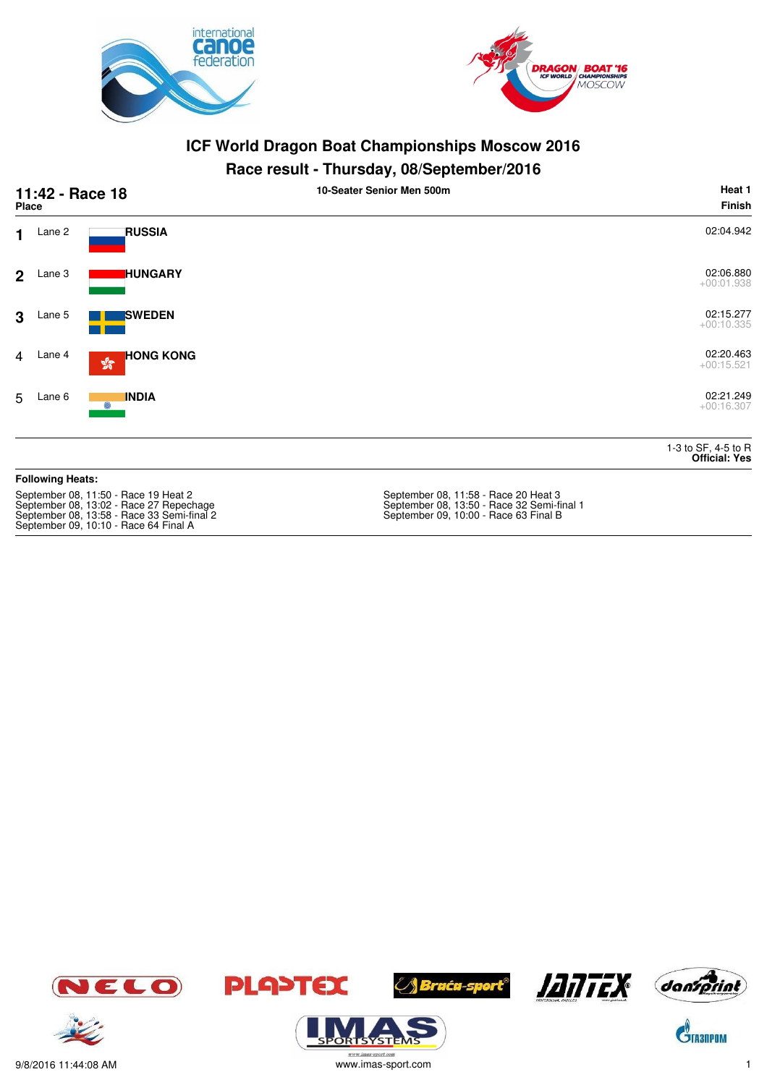



#### **Race result - Thursday, 08/September/2016**

|                | 11:42 - Race 18<br><b>Place</b> |                                                   | . .<br>10-Seater Senior Men 500m | Heat 1<br><b>Finish</b>                     |
|----------------|---------------------------------|---------------------------------------------------|----------------------------------|---------------------------------------------|
| $\mathbf 1$    | Lane 2                          | <b>RUSSIA</b>                                     |                                  | 02:04.942                                   |
| 2 <sup>1</sup> | Lane 3                          | <b>HUNGARY</b>                                    |                                  | 02:06.880<br>$+00:01.938$                   |
| 3              | Lane 5                          | <b>SWEDEN</b>                                     |                                  | 02:15.277<br>$+00:10.335$                   |
| $\overline{4}$ | Lane 4                          | <b>HONG KONG</b><br>$\mathbb{S}^{\mathbb{S}^n}_q$ |                                  | 02:20.463<br>$+00:15.521$                   |
| 5              | Lane 6                          | <b>INDIA</b><br>Ô)                                |                                  | 02:21.249<br>$+00:16.307$                   |
|                |                                 |                                                   |                                  | 1-3 to SF, 4-5 to R<br><b>Official: Yes</b> |
|                | <b>Fallendo a Hasta.</b>        |                                                   |                                  |                                             |

#### **Following Heats:**

September 08, 11:50 - Race 19 Heat 2 New September 08, 11:58 - Race 20 Heat 3 September 08, 13:58 - Race 33 Semi-final 2 September 09, 10:00 - Race 63 Final B September 09, 10:10 - Race 64 Final A

September 08, 11:58 - Race 20 Heat 3<br>September 08, 13:50 - Race 32 Semi-final 1<br>September 09, 10:00 - Race 63 Final B







**PLA>TEX** 





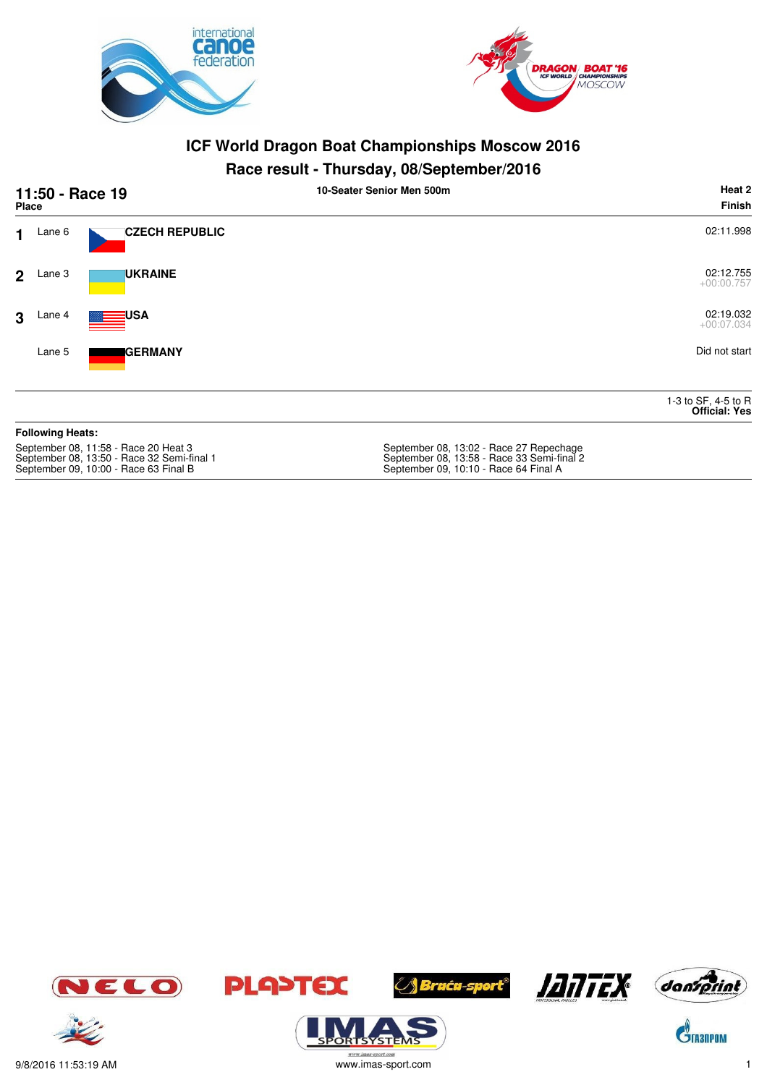



#### **Race result - Thursday, 08/September/2016**

| 11:50 - Race 19<br><b>Place</b> |                         |                                      | 10-Seater Senior Men 500m               | Heat 2<br>Finish                            |
|---------------------------------|-------------------------|--------------------------------------|-----------------------------------------|---------------------------------------------|
| $\mathbf{1}$                    | Lane 6                  | <b>CZECH REPUBLIC</b>                |                                         | 02:11.998                                   |
| $\mathbf{2}$                    | Lane 3                  | <b>UKRAINE</b>                       |                                         | 02:12.755<br>$+00:00.757$                   |
| 3                               | Lane 4                  | <b>USA</b>                           |                                         | 02:19.032<br>$+00:07.034$                   |
|                                 | Lane 5                  | <b>IGERMANY</b>                      |                                         | Did not start                               |
|                                 |                         |                                      |                                         | 1-3 to SF, 4-5 to R<br><b>Official: Yes</b> |
|                                 | <b>Following Heats:</b> |                                      |                                         |                                             |
|                                 |                         | September 08, 11:58 - Race 20 Heat 3 | September 08, 13:02 - Race 27 Repechage |                                             |

September 08, 13:50 - Race 32 Semi-final 1 September 08, 13:58 - Race 33 Semi-final 2 September 08, 11:00 - Hace 20 Heat 5<br>September 08, 13:50 - Race 32 Semi-final 1<br>September 09, 10:00 - Race 63 Final B









**ORISYSTE** 





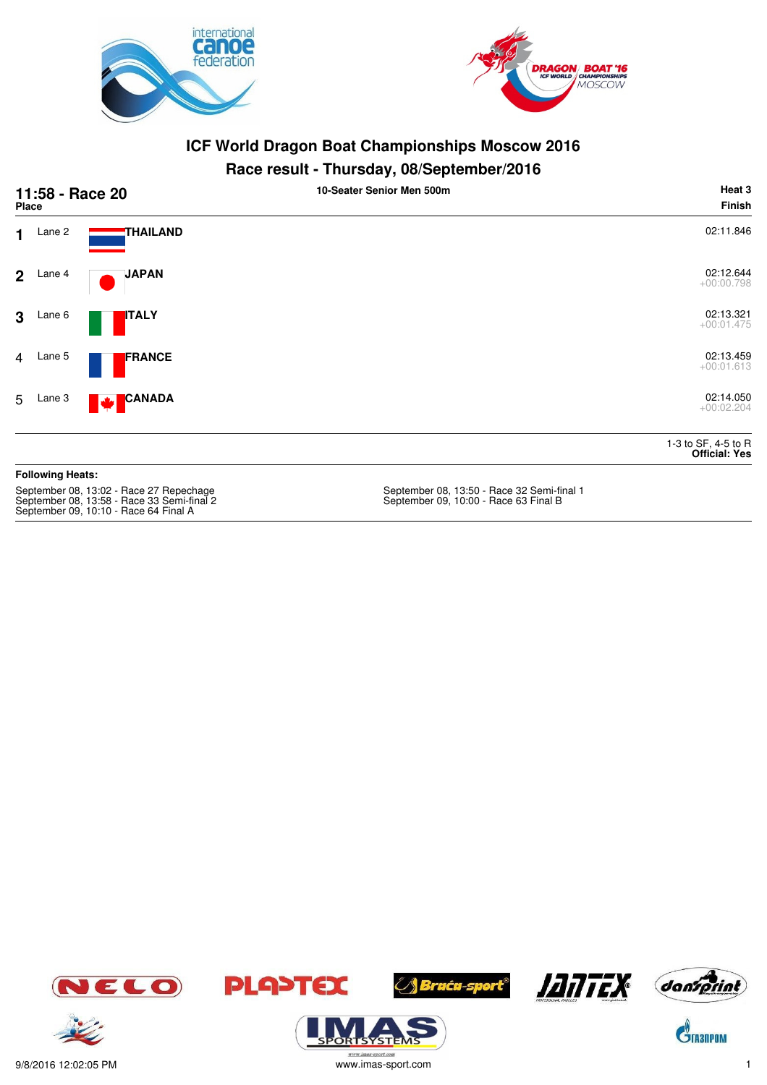



#### **Race result - Thursday, 08/September/2016**

|                | 11:58 - Race 20<br>Place |                           | 10-Seater Senior Men 500m | Heat 3<br><b>Finish</b>                     |
|----------------|--------------------------|---------------------------|---------------------------|---------------------------------------------|
| $\mathbf 1$    | Lane 2                   | <b>THAILAND</b>           |                           | 02:11.846                                   |
|                | $2$ Lane 4               | <b>JAPAN</b>              |                           | 02:12.644<br>$+00:00.798$                   |
| 3 <sup>1</sup> | Lane 6                   | <b>ITALY</b>              |                           | 02:13.321<br>$+00:01.475$                   |
| $\overline{4}$ | Lane 5                   | FRANCE                    |                           | 02:13.459<br>$+00:01.613$                   |
| 5              | Lane 3                   | <b>CANADA</b><br><b>M</b> |                           | 02:14.050<br>$+00:02.204$                   |
|                |                          |                           |                           | 1-3 to SF, 4-5 to R<br><b>Official: Yes</b> |

#### **Following Heats:**

September 08, 13:58 - Race 33 Semi-final 2 September 09, 10:00 - Race 63 Final B September 09, 10:10 - Race 64 Final A

September 08, 13:50 - Race 32 Semi-final 1<br>September 09, 10:00 - Race 63 Final B













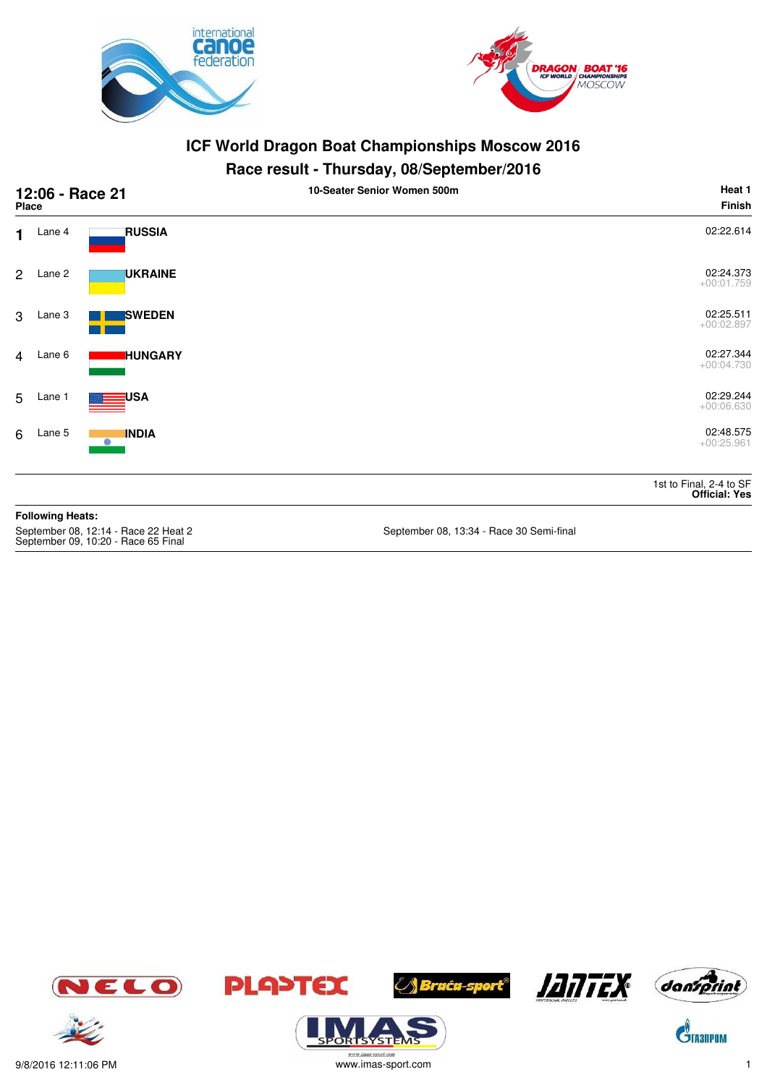



#### **Race result - Thursday, 08/September/2016**

| 12:06 - Race 21<br><b>Place</b>                                             |                         |                   | 10-Seater Senior Women 500m              | Heat 1<br><b>Finish</b>                         |
|-----------------------------------------------------------------------------|-------------------------|-------------------|------------------------------------------|-------------------------------------------------|
| $\mathbf 1$                                                                 | Lane 4                  | <b>RUSSIA</b>     |                                          | 02:22.614                                       |
| $\overline{2}$                                                              | Lane 2                  | <b>UKRAINE</b>    |                                          | 02:24.373<br>$+00:01.759$                       |
| 3                                                                           | Lane 3                  | <b>SWEDEN</b>     |                                          | 02:25.511<br>$+00:02.897$                       |
| $\overline{4}$                                                              | Lane 6                  | <b>HUNGARY</b>    |                                          | 02:27.344<br>$+00:04.730$                       |
| 5                                                                           | Lane 1                  | USA               |                                          | 02:29.244<br>$+00:06.630$                       |
| 6                                                                           | Lane 5                  | <b>INDIA</b><br>O |                                          | 02:48.575<br>$+00:25.961$                       |
|                                                                             |                         |                   |                                          | 1st to Final, 2-4 to SF<br><b>Official: Yes</b> |
|                                                                             | <b>Following Heats:</b> |                   |                                          |                                                 |
| September 08, 12:14 - Race 22 Heat 2<br>September 09, 10:20 - Race 65 Final |                         |                   | September 08, 13:34 - Race 30 Semi-final |                                                 |









**ORISYSTE** 







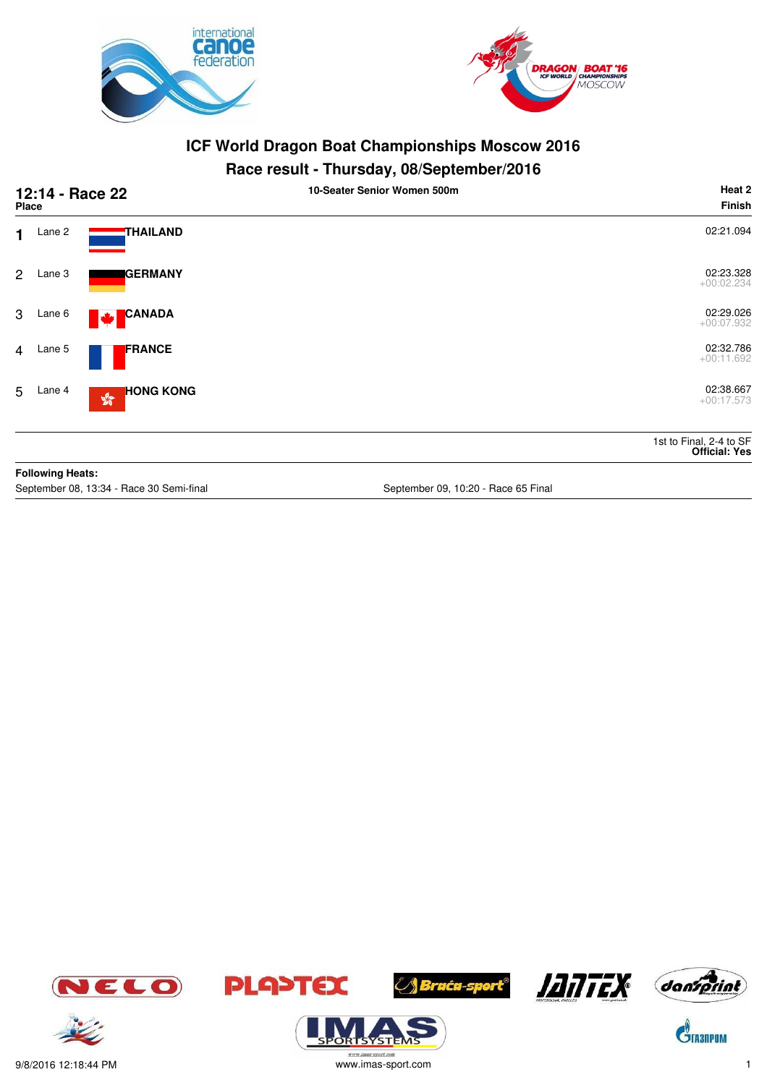



## **Race result - Thursday, 08/September/2016**

| 12:14 - Race 22<br><b>Place</b> |                         |                                                   | 10-Seater Senior Women 500m         | Heat 2<br><b>Finish</b>                         |
|---------------------------------|-------------------------|---------------------------------------------------|-------------------------------------|-------------------------------------------------|
| $\mathbf 1$                     | Lane 2                  | THAILAND                                          |                                     | 02:21.094                                       |
| $\overline{2}$                  | Lane 3                  | <b>GERMANY</b>                                    |                                     | 02:23.328<br>$+00:02.234$                       |
| 3                               | Lane 6                  | <b>CANADA</b><br>$ \mathbf{\Psi} $                |                                     | 02:29.026<br>$+00:07.932$                       |
| 4                               | Lane 5                  | <b>FRANCE</b>                                     |                                     | 02:32.786<br>$+00:11.692$                       |
|                                 | 5 Lane 4                | <b>HONG KONG</b><br>$\mathbb{S}^{\mathbb{S}^n}_0$ |                                     | 02:38.667<br>$+00:17.573$                       |
|                                 |                         |                                                   |                                     | 1st to Final, 2-4 to SF<br><b>Official: Yes</b> |
|                                 | <b>Following Heats:</b> |                                                   |                                     |                                                 |
|                                 |                         | September 08, 13:34 - Race 30 Semi-final          | September 09, 10:20 - Race 65 Final |                                                 |











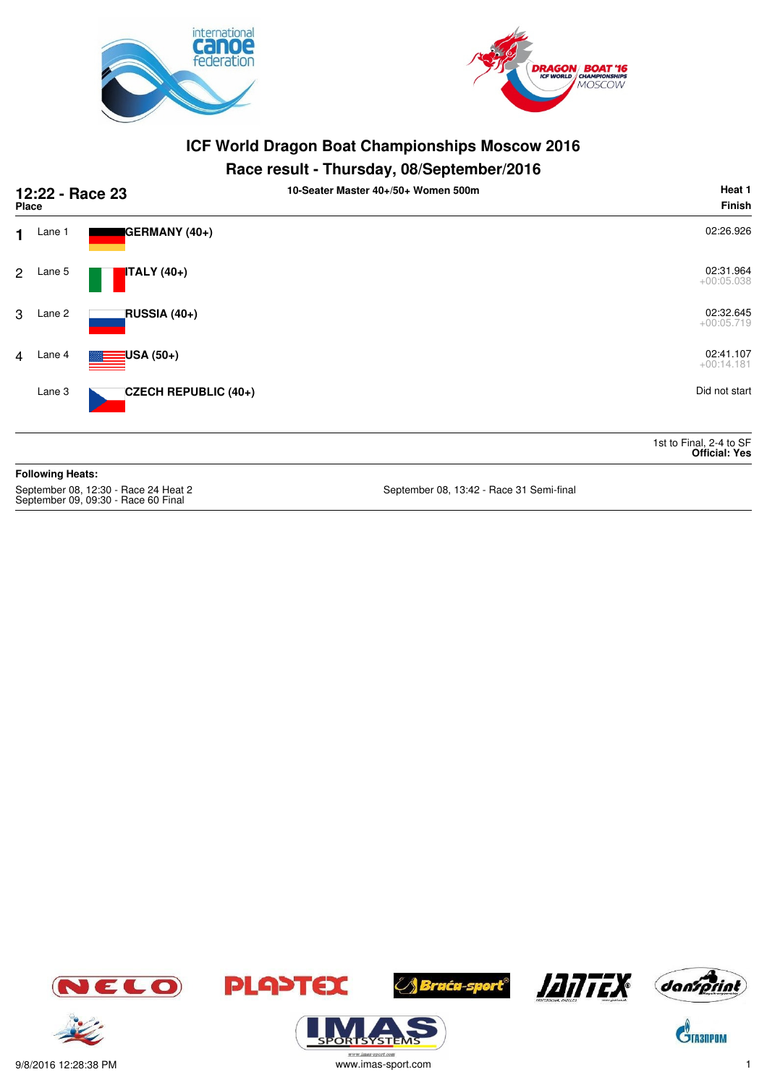



#### **Race result - Thursday, 08/September/2016**

|                | 12:22 - Race 23<br><b>Place</b> |                      | . .<br>Heat 1<br>10-Seater Master 40+/50+ Women 500m<br>Finish |
|----------------|---------------------------------|----------------------|----------------------------------------------------------------|
| $\mathbf 1$    | Lane 1                          | GERMANY (40+)        | 02:26.926                                                      |
| $\overline{2}$ | Lane 5                          | <b>ITALY</b> (40+)   | 02:31.964<br>$+00:05.038$                                      |
| 3              | Lane 2                          | RUSSIA (40+)         | 02:32.645<br>$+00:05.719$                                      |
| $\overline{4}$ | Lane 4                          | $\equiv$ USA (50+)   | 02:41.107<br>$+00:14.181$                                      |
|                | Lane 3                          | CZECH REPUBLIC (40+) | Did not start                                                  |
|                |                                 |                      | 1st to Final, 2-4 to SF<br><b>Official: Yes</b>                |
|                | <b>Following Heats:</b>         |                      |                                                                |

September 09, 09:30 - Race 60 Final

September 08, 13:42 - Race 31 Semi-final









**/ Braća-sport<sup>®</sup>** 





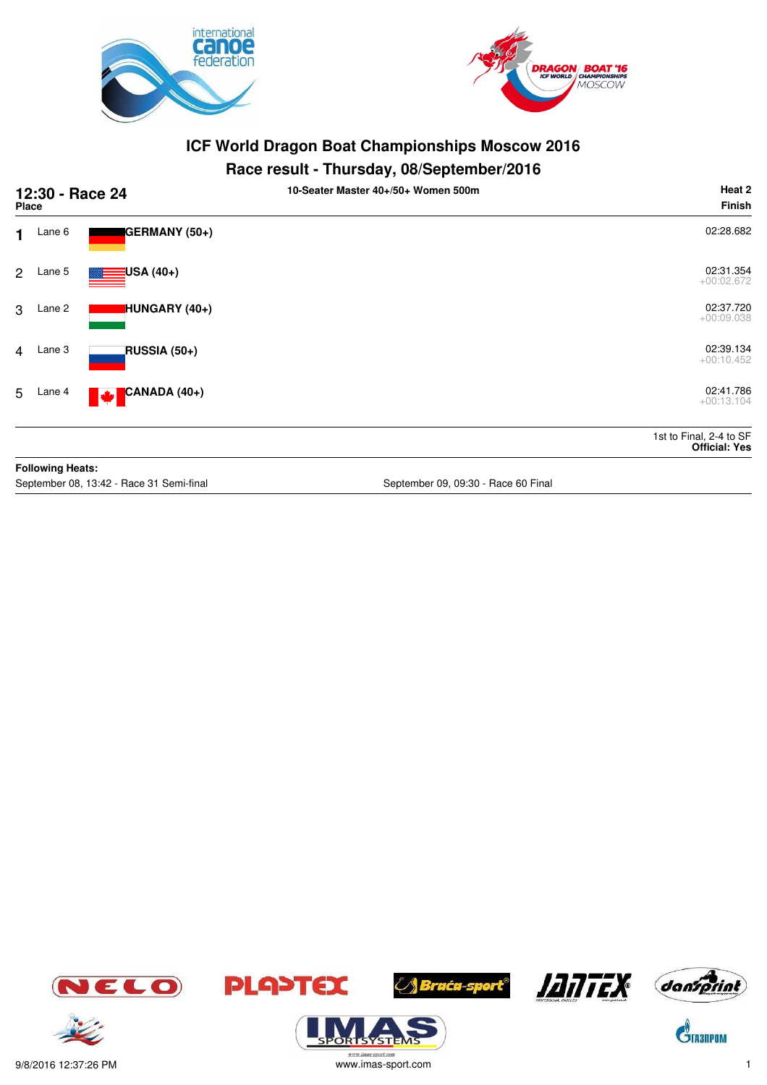



### **Race result - Thursday, 08/September/2016**

| 12:30 - Race 24<br><b>Place</b> |                         |                                          | 10-Seater Master 40+/50+ Women 500m | Heat 2<br><b>Finish</b>                         |
|---------------------------------|-------------------------|------------------------------------------|-------------------------------------|-------------------------------------------------|
|                                 | $1$ Lane 6              | GERMANY (50+)                            |                                     | 02:28.682                                       |
| $\overline{2}$                  | Lane 5                  | <mark>:</mark> USA (40+)                 |                                     | 02:31.354<br>$+00:02.672$                       |
| 3                               | Lane 2                  | HUNGARY (40+)                            |                                     | 02:37.720<br>$+00:09.038$                       |
| $\overline{4}$                  | Lane 3                  | RUSSIA (50+)                             |                                     | 02:39.134<br>$+00:10.452$                       |
| 5                               | Lane 4                  | CANADA (40+)<br><b>W</b>                 |                                     | 02:41.786<br>$+00:13.104$                       |
|                                 |                         |                                          |                                     | 1st to Final, 2-4 to SF<br><b>Official: Yes</b> |
|                                 | <b>Following Heats:</b> |                                          |                                     |                                                 |
|                                 |                         | September 08, 13:42 - Race 31 Semi-final | September 09, 09:30 - Race 60 Final |                                                 |







**ORISYSTE** 





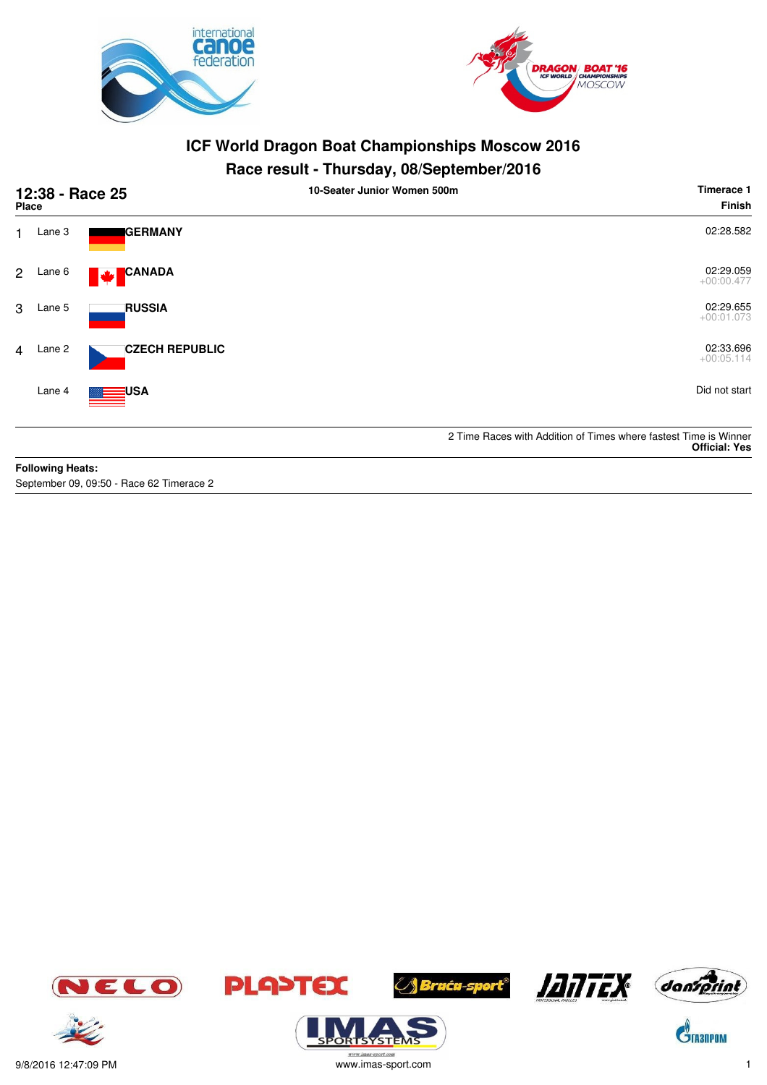



## **Race result - Thursday, 08/September/2016**

| 12:38 - Race 25<br><b>Place</b> |                         |                       | 10-Seater Junior Women 500m | Timerace 1<br>Finish                                                                     |
|---------------------------------|-------------------------|-----------------------|-----------------------------|------------------------------------------------------------------------------------------|
| 1.                              | Lane 3                  | <b>IGERMANY</b>       |                             | 02:28.582                                                                                |
| $\overline{2}$                  | Lane 6                  | <b>CANADA</b><br>M    |                             | 02:29.059<br>$+00:00.477$                                                                |
| 3                               | Lane 5                  | <b>RUSSIA</b>         |                             | 02:29.655<br>$+00:01.073$                                                                |
| $\overline{4}$                  | Lane 2                  | <b>CZECH REPUBLIC</b> |                             | 02:33.696<br>$+00:05.114$                                                                |
|                                 | Lane 4                  | <b>USA</b>            |                             | Did not start                                                                            |
|                                 |                         |                       |                             | 2 Time Races with Addition of Times where fastest Time is Winner<br><b>Official: Yes</b> |
|                                 | <b>Following Heats:</b> |                       |                             |                                                                                          |

September 09, 09:50 - Race 62 Timerace 2









SYSTE





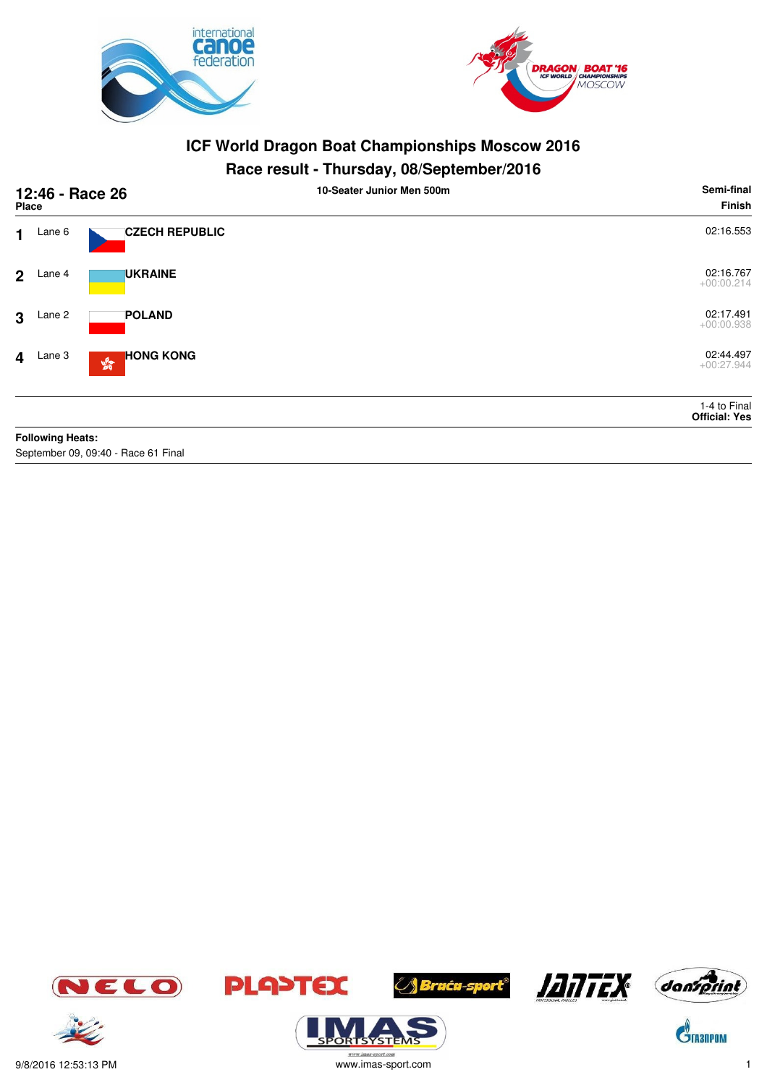



## **Race result - Thursday, 08/September/2016**

|                | 12:46 - Race 26<br><b>Place</b> |                                                            | 10-Seater Junior Men 500m | Semi-final<br>Finish                 |
|----------------|---------------------------------|------------------------------------------------------------|---------------------------|--------------------------------------|
| $\mathbf 1$    | Lane 6                          | <b>CZECH REPUBLIC</b>                                      |                           | 02:16.553                            |
| 2 <sup>1</sup> | Lane 4                          | <b>UKRAINE</b>                                             |                           | 02:16.767<br>$+00:00.214$            |
| 3              | Lane 2                          | <b>POLAND</b>                                              |                           | 02:17.491<br>$+00:00.938$            |
|                | $4$ Lane 3                      | <b>HONG KONG</b><br>$\mathbf{S}^{\mathbf{G}}_{\mathbf{G}}$ |                           | 02:44.497<br>$+00:27.944$            |
|                |                                 |                                                            |                           | 1-4 to Final<br><b>Official: Yes</b> |
|                | <b>Following Heats:</b>         |                                                            |                           |                                      |

September 09, 09:40 - Race 61 Final













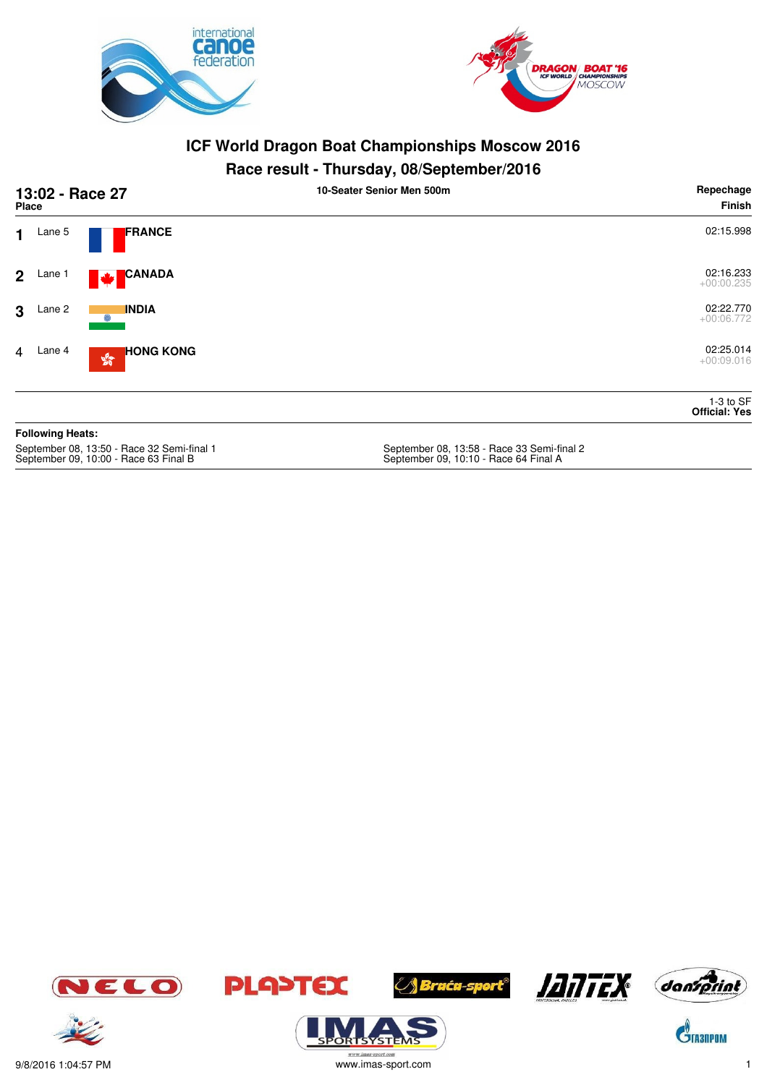



#### **Race result - Thursday, 08/September/2016**

|                | 13:02 - Race 27<br><b>Place</b> |                         | 10-Seater Senior Men 500m | Repechage<br>Finish                 |
|----------------|---------------------------------|-------------------------|---------------------------|-------------------------------------|
| $\mathbf{1}$   | Lane 5                          | FRANCE                  |                           | 02:15.998                           |
|                | $2$ Lane 1                      | <b>CANADA</b><br>M      |                           | 02:16.233<br>$+00:00.235$           |
| 3 <sup>1</sup> | Lane 2                          | <b>INDIA</b><br>0       |                           | 02:22.770<br>$+00:06.772$           |
| $\overline{4}$ | Lane 4                          | <b>HONG KONG</b><br>250 |                           | 02:25.014<br>$+00:09.016$           |
|                |                                 |                         |                           | $1-3$ to SF<br><b>Official: Yes</b> |
|                | <b>Following Heats:</b>         |                         |                           |                                     |

September 08, 13:50 - Race 32 Semi-final 1<br>September 09, 10:00 - Race 63 Final B

September 08, 13:58 - Race 33 Semi-final 2<br>September 09, 10:10 - Race 64 Final A















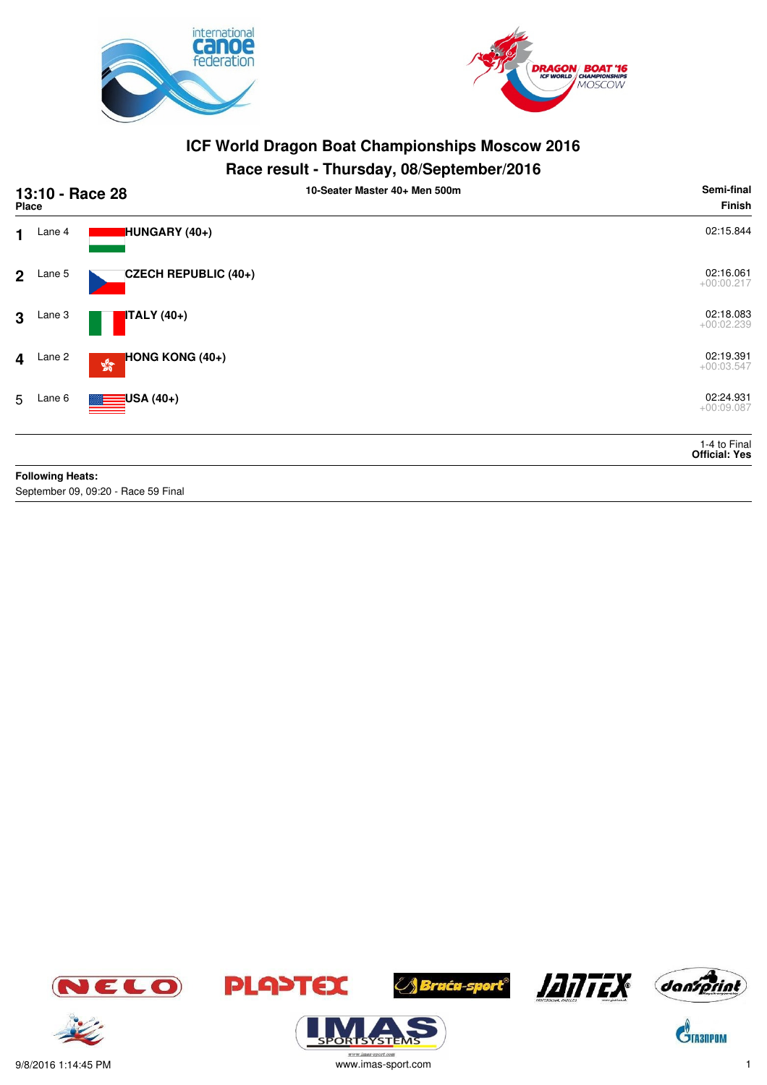



### **Race result - Thursday, 08/September/2016**

|                | 13:10 - Race 28<br><b>Place</b> |                                                                      | 10-Seater Master 40+ Men 500m | Semi-final<br><b>Finish</b>          |
|----------------|---------------------------------|----------------------------------------------------------------------|-------------------------------|--------------------------------------|
| $\mathbf 1$    | Lane 4                          | HUNGARY (40+)                                                        |                               | 02:15.844                            |
| 2 <sup>1</sup> | Lane 5                          | <b>CZECH REPUBLIC (40+)</b>                                          |                               | 02:16.061<br>$+00:00.217$            |
| $\mathbf{3}$   | Lane 3                          | <b>ITALY</b> (40+)                                                   |                               | 02:18.083<br>$+00:02.239$            |
|                | $4$ Lane 2                      | <b>HONG KONG <math>(40+)</math></b><br>$\mathbb{S}^{\mathbb{S}^n}_0$ |                               | 02:19.391<br>$+00:03.547$            |
| 5              | Lane 6                          | $\equiv$ USA (40+)                                                   |                               | 02:24.931<br>$+00:09.087$            |
|                |                                 |                                                                      |                               | 1-4 to Final<br><b>Official: Yes</b> |
|                | <b>Following Heats:</b>         |                                                                      |                               |                                      |
|                |                                 | September 09, 09:20 - Race 59 Final                                  |                               |                                      |

















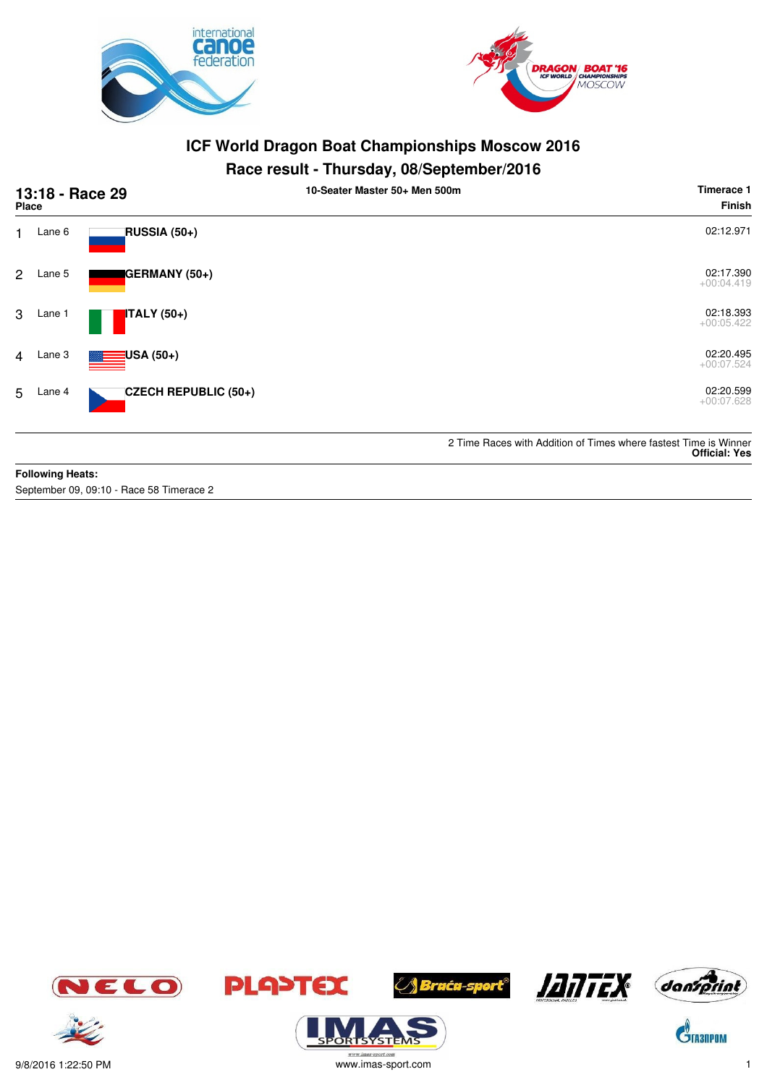



#### **Race result - Thursday, 08/September/2016**

| 13:18 - Race 29<br><b>Place</b> |                         |                                          | 10-Seater Master 50+ Men 500m | Timerace 1<br><b>Finish</b>                                                              |
|---------------------------------|-------------------------|------------------------------------------|-------------------------------|------------------------------------------------------------------------------------------|
| 1.                              | Lane 6                  | RUSSIA (50+)                             |                               | 02:12.971                                                                                |
| $\overline{2}$                  | Lane 5                  | GERMANY (50+)                            |                               | 02:17.390<br>$+00:04.419$                                                                |
| 3                               | Lane 1                  | <b>ITALY</b> (50+)                       |                               | 02:18.393<br>$+00:05.422$                                                                |
| $\overline{4}$                  | Lane 3                  | USA (50+)                                |                               | 02:20.495<br>$+00:07.524$                                                                |
| 5                               | Lane 4                  | CZECH REPUBLIC (50+)                     |                               | 02:20.599<br>$+00:07.628$                                                                |
|                                 |                         |                                          |                               | 2 Time Races with Addition of Times where fastest Time is Winner<br><b>Official: Yes</b> |
|                                 | <b>Following Heats:</b> |                                          |                               |                                                                                          |
|                                 |                         | September 09, 09:10 - Race 58 Timerace 2 |                               |                                                                                          |









**ORISYSTE** 







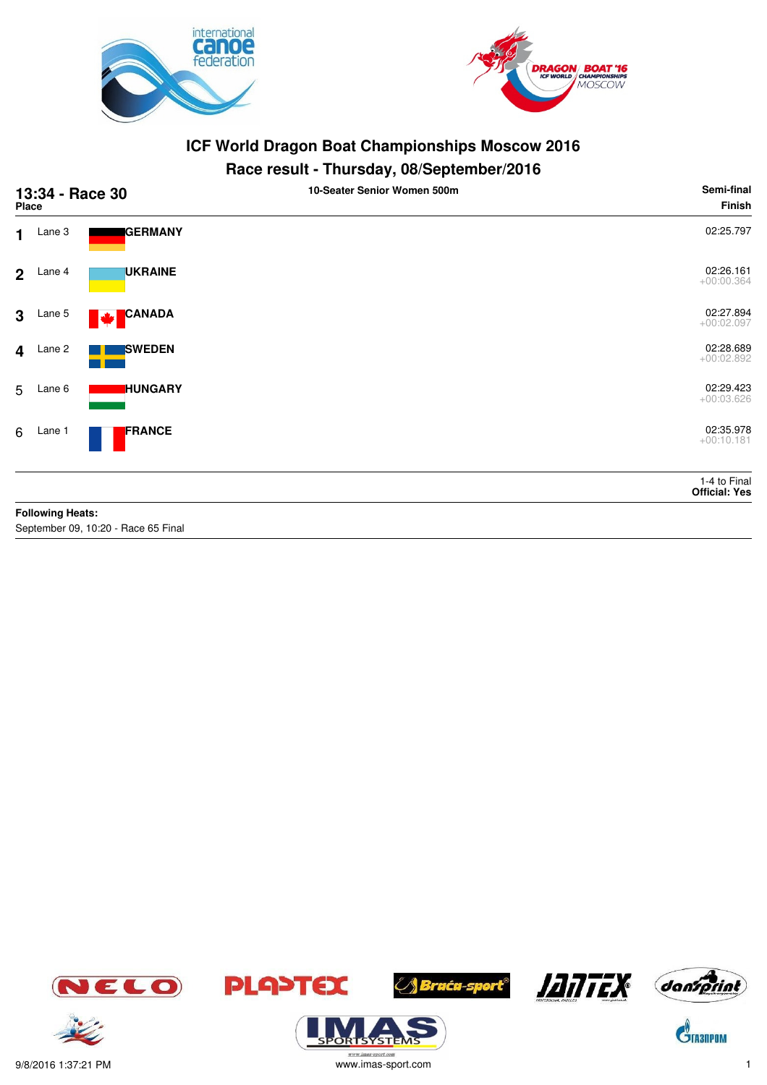



#### **Race result - Thursday, 08/September/2016**

|                         | 13:34 - Race 30<br>Place |                                     | . .<br>10-Seater Senior Women 500m | Semi-final<br><b>Finish</b>   |
|-------------------------|--------------------------|-------------------------------------|------------------------------------|-------------------------------|
| $\mathbf 1$             | Lane 3                   | GERMANY                             |                                    | 02:25.797                     |
| 2 <sup>1</sup>          | Lane 4                   | <b>UKRAINE</b>                      |                                    | 02:26.161<br>$+00:00.364$     |
| 3                       | Lane 5                   | <b>CANADA</b><br><b>Mar</b>         |                                    | 02:27.894<br>$+00:02.097$     |
| $\overline{\mathbf{4}}$ | Lane 2                   | <b>SWEDEN</b>                       |                                    | 02:28.689<br>$+00:02.892$     |
| 5                       | Lane 6                   | <b>HUNGARY</b>                      |                                    | 02:29.423<br>$+00:03.626$     |
| 6                       | Lane 1                   | FRANCE                              |                                    | 02:35.978<br>$+00:10.181$     |
|                         |                          |                                     |                                    | 1-4 to Final<br>Official: Yes |
|                         | <b>Following Heats:</b>  |                                     |                                    |                               |
|                         |                          | September 09, 10:20 - Race 65 Final |                                    |                               |









**ORISYSTE** 





 $\mathbf{C}^{\!\!\backslash\!}$ Tasnpom

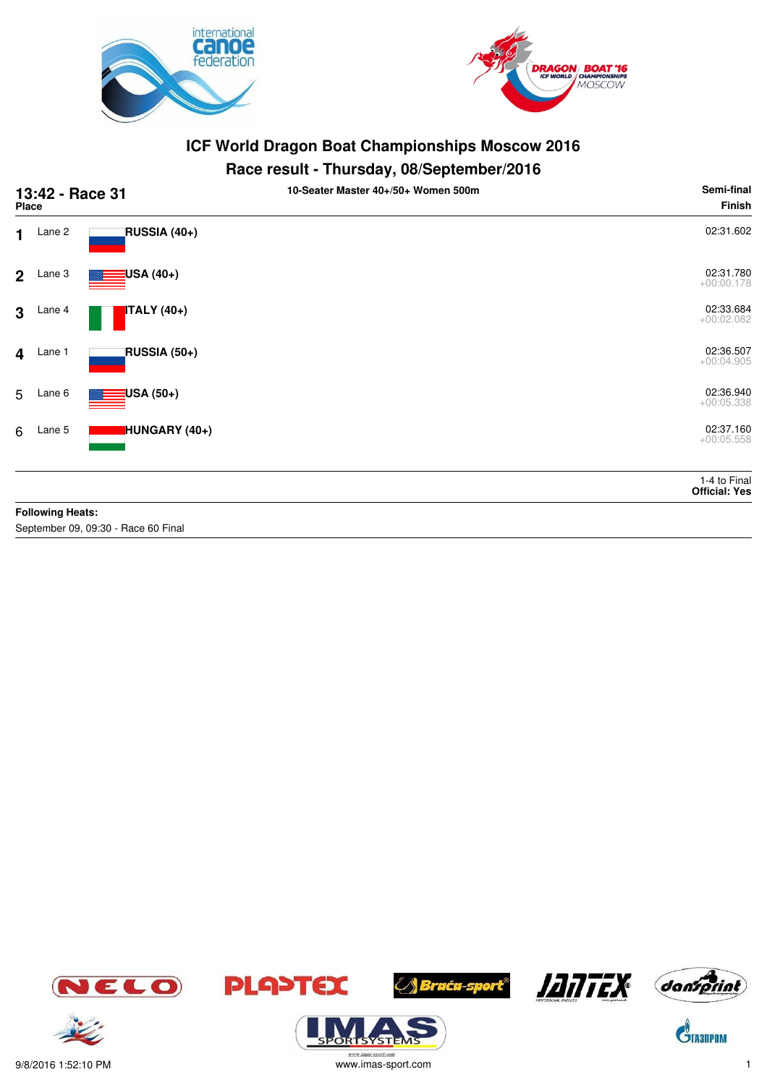



## **Race result - Thursday, 08/September/2016**

|                         | 13:42 - Race 31<br><b>Place</b> |                          | 10-Seater Master 40+/50+ Women 500m | Semi-final<br>Finish                 |
|-------------------------|---------------------------------|--------------------------|-------------------------------------|--------------------------------------|
| $\mathbf 1$             | Lane 2                          | RUSSIA (40+)             |                                     | 02:31.602                            |
| 2 <sup>1</sup>          | Lane 3                          | <mark>:</mark> USA (40+) |                                     | 02:31.780<br>$+00:00.178$            |
| $\mathbf{3}$            | Lane 4                          | <b>ITALY</b> (40+)       |                                     | 02:33.684<br>$+00:02.082$            |
| $\overline{\mathbf{4}}$ | Lane 1                          | RUSSIA (50+)             |                                     | 02:36.507<br>$+00:04.905$            |
| 5                       | Lane 6                          | <mark>:</mark> USA (50+) |                                     | 02:36.940<br>$+00:05.338$            |
| 6                       | Lane 5                          | HUNGARY (40+)            |                                     | 02:37.160<br>$+00:05.558$            |
|                         |                                 |                          |                                     | 1-4 to Final<br><b>Official: Yes</b> |
|                         | <b>Following Heats:</b>         |                          |                                     |                                      |

September 09, 09:30 - Race 60 Final















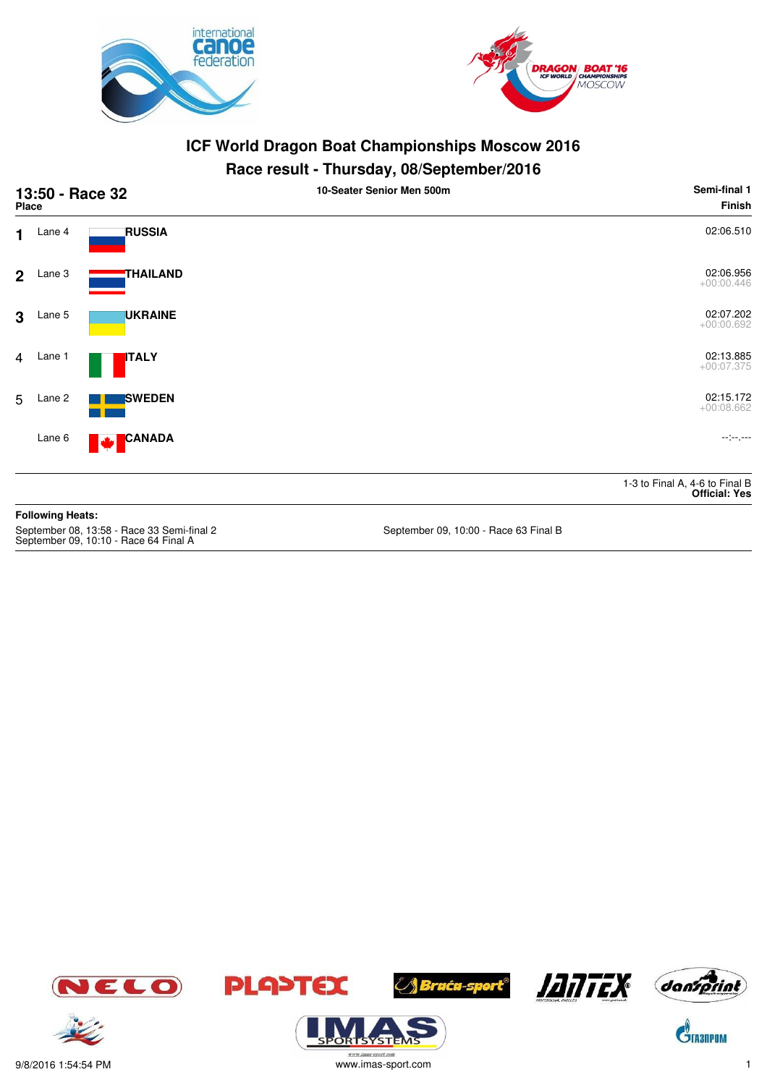



#### **Race result - Thursday, 08/September/2016**

| 13:50 - Race 32<br><b>Place</b> |                         |                                                                                     | 10-Seater Senior Men 500m             | Semi-final 1<br><b>Finish</b>                          |
|---------------------------------|-------------------------|-------------------------------------------------------------------------------------|---------------------------------------|--------------------------------------------------------|
| 1                               | Lane 4                  | <b>RUSSIA</b>                                                                       |                                       | 02:06.510                                              |
| $\overline{2}$                  | Lane 3                  | <b>THAILAND</b>                                                                     |                                       | 02:06.956<br>$+00:00.446$                              |
| $\mathbf{3}$                    | Lane 5                  | <b>UKRAINE</b>                                                                      |                                       | 02:07.202<br>$+00:00.692$                              |
| $\overline{4}$                  | Lane 1                  | <b>ITALY</b>                                                                        |                                       | 02:13.885<br>$+00:07.375$                              |
| 5                               | Lane 2                  | <b>SWEDEN</b>                                                                       |                                       | 02:15.172<br>$+00:08.662$                              |
|                                 | Lane 6                  | <b>CANADA</b><br>M                                                                  |                                       | معمر معزمت                                             |
|                                 |                         |                                                                                     |                                       | 1-3 to Final A, 4-6 to Final B<br><b>Official: Yes</b> |
|                                 | <b>Following Heats:</b> |                                                                                     |                                       |                                                        |
|                                 |                         | September 08, 13:58 - Race 33 Semi-final 2<br>September 09, 10:10 - Race 64 Final A | September 09, 10:00 - Race 63 Final B |                                                        |













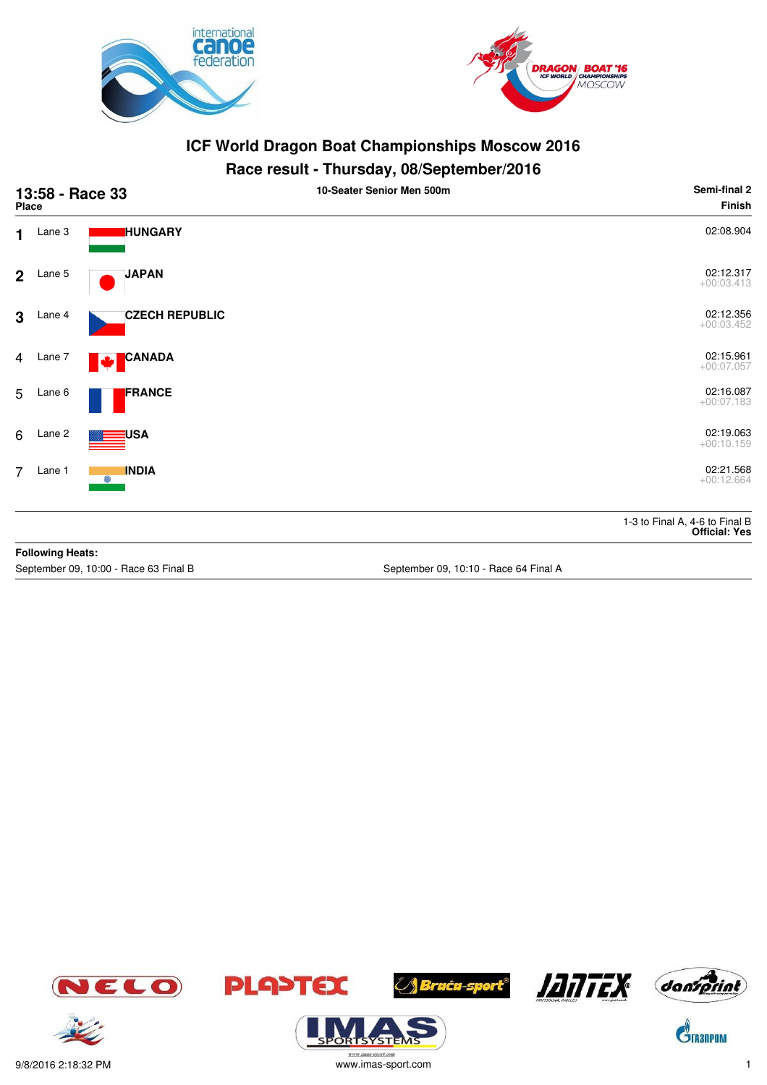



### **Race result - Thursday, 08/September/2016**

| 13:58 - Race 33<br>Place |                         |                                       | . .<br>10-Seater Senior Men 500m      | Semi-final 2<br>Finish                                 |
|--------------------------|-------------------------|---------------------------------------|---------------------------------------|--------------------------------------------------------|
| 1                        | Lane 3                  | <b>HUNGARY</b>                        |                                       | 02:08.904                                              |
| 2 <sup>1</sup>           | Lane 5                  | <b>JAPAN</b>                          |                                       | 02:12.317<br>$+00:03.413$                              |
| $\mathbf{3}$             | Lane 4                  | <b>CZECH REPUBLIC</b>                 |                                       | 02:12.356<br>$+00:03.452$                              |
| $\overline{4}$           | Lane 7                  | <b>CANADA</b><br>М                    |                                       | 02:15.961<br>$+00:07.057$                              |
| 5                        | Lane 6                  | FRANCE                                |                                       | 02:16.087<br>$+00:07.183$                              |
| 6                        | Lane 2                  | USA                                   |                                       | 02:19.063<br>$+00:10.159$                              |
| $\overline{7}$           | Lane 1                  | <b>INDIA</b><br>0                     |                                       | 02:21.568<br>$+00:12.664$                              |
|                          |                         |                                       |                                       | 1-3 to Final A, 4-6 to Final B<br><b>Official: Yes</b> |
|                          | <b>Following Heats:</b> |                                       |                                       |                                                        |
|                          |                         | September 09, 10:00 - Race 63 Final B | September 09, 10:10 - Race 64 Final A |                                                        |









ORTSYSTER





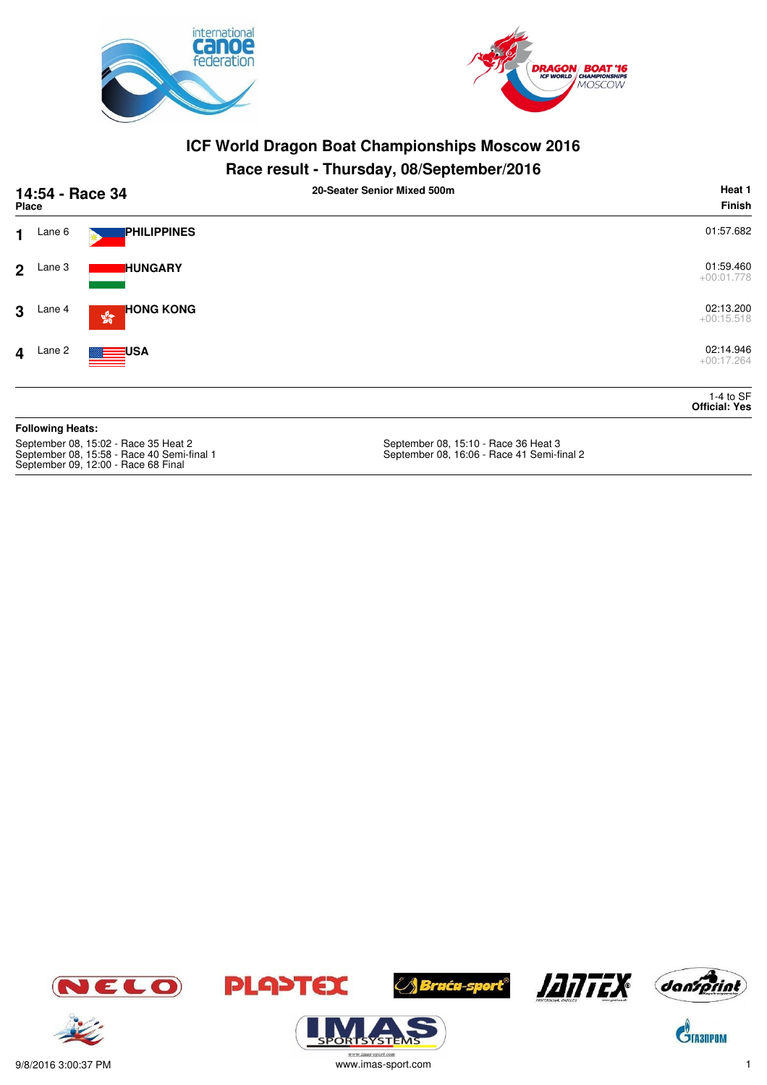



## **Race result - Thursday, 08/September/2016**

| 14:54 - Race 34<br>Place                                                                                                  |                         |                                                  | 20-Seater Senior Mixed 500m                                                        | Heat 1<br><b>Finish</b>             |
|---------------------------------------------------------------------------------------------------------------------------|-------------------------|--------------------------------------------------|------------------------------------------------------------------------------------|-------------------------------------|
| 1                                                                                                                         | Lane 6                  | <b>PHILIPPINES</b>                               |                                                                                    | 01:57.682                           |
| $\overline{2}$                                                                                                            | Lane 3                  | <b>IHUNGARY</b>                                  |                                                                                    | 01:59.460<br>$+00:01.778$           |
| 3                                                                                                                         | Lane 4                  | <b>HONG KONG</b><br>$\frac{\sqrt{2}}{2\sqrt{3}}$ |                                                                                    | 02:13.200<br>$+00:15.518$           |
| 4                                                                                                                         | Lane 2                  | <b>USA</b>                                       |                                                                                    | 02:14.946<br>$+00:17.264$           |
|                                                                                                                           |                         |                                                  |                                                                                    | 1-4 to $SF$<br><b>Official: Yes</b> |
|                                                                                                                           | <b>Following Heats:</b> |                                                  |                                                                                    |                                     |
| September 08, 15:02 - Race 35 Heat 2<br>September 08, 15:58 - Race 40 Semi-final 1<br>September 09, 12:00 - Race 68 Final |                         |                                                  | September 08, 15:10 - Race 36 Heat 3<br>September 08, 16:06 - Race 41 Semi-final 2 |                                     |















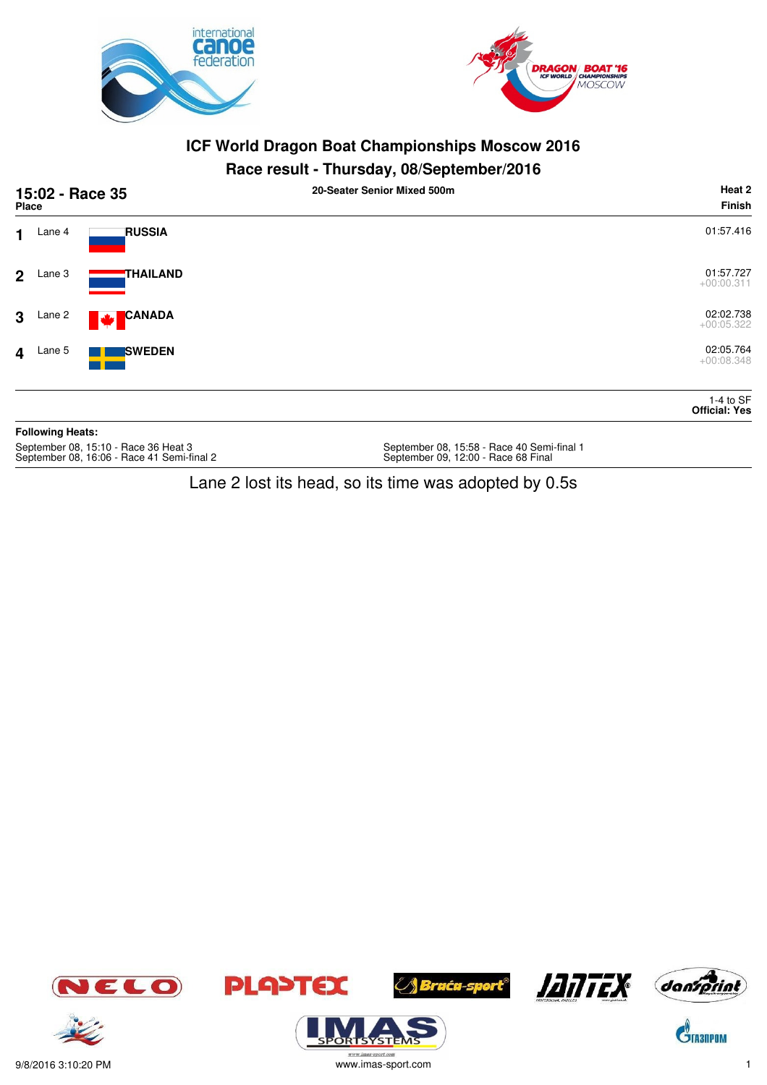



#### **Race result - Thursday, 08/September/2016**

| <b>Place</b>            |                         | 15:02 - Race 35               | 20-Seater Senior Mixed 500m | Heat 2<br>Finish                    |
|-------------------------|-------------------------|-------------------------------|-----------------------------|-------------------------------------|
| $\mathbf 1$             | Lane 4                  | <b>RUSSIA</b>                 |                             | 01:57.416                           |
| 2 <sup>1</sup>          | Lane 3                  | THAILAND                      |                             | 01:57.727<br>$+00:00.311$           |
| $\mathbf{3}$            | Lane 2                  | <b>CANADA</b><br><b>Maria</b> |                             | 02:02.738<br>$+00:05.322$           |
| $\overline{\mathbf{4}}$ | Lane 5                  | <b>SWEDEN</b>                 |                             | 02:05.764<br>$+00:08.348$           |
|                         |                         |                               |                             | 1-4 to $SF$<br><b>Official: Yes</b> |
|                         | <b>Following Heats:</b> |                               |                             |                                     |

September 08, 15:10 - Race 36 Heat 3<br>September 08, 16:06 - Race 41 Semi-final 2

September 08, 15:58 - Race 40 Semi-final 1<br>September 09, 12:00 - Race 68 Final

Lane 2 lost its head, so its time was adopted by 0.5s







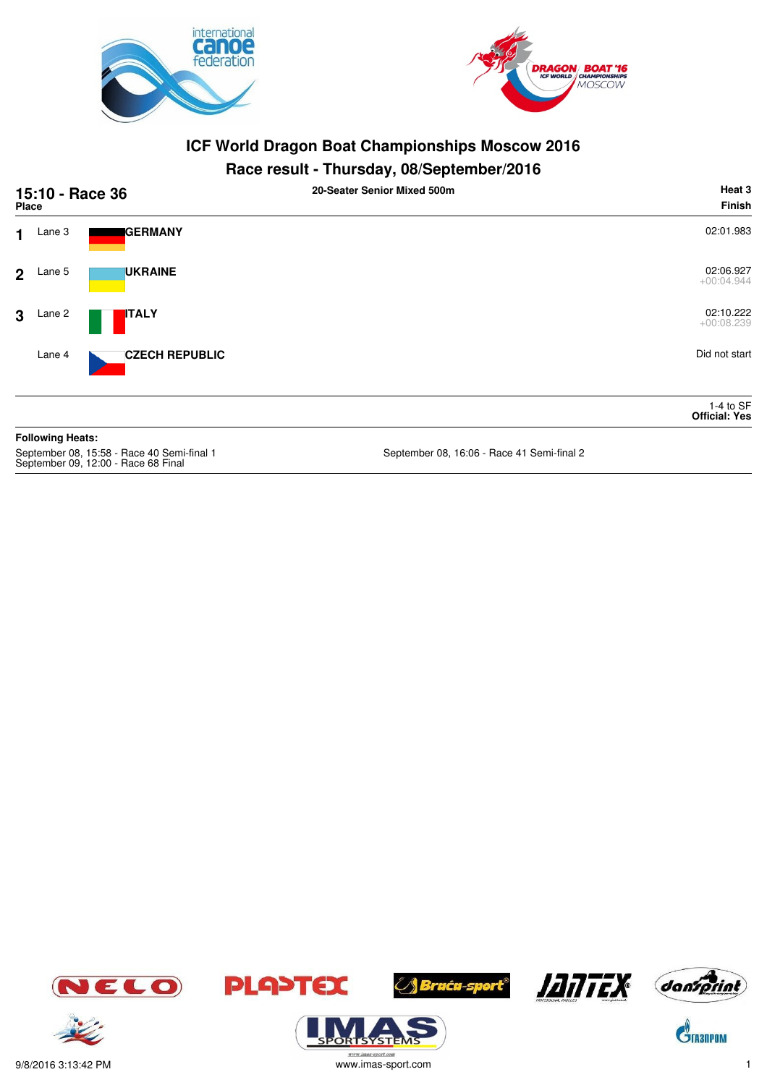



#### **Race result - Thursday, 08/September/2016**

|                | 15:10 - Race 36<br><b>Place</b> |                       | 20-Seater Senior Mixed 500m | Heat 3<br>Finish                    |
|----------------|---------------------------------|-----------------------|-----------------------------|-------------------------------------|
| $\mathbf 1$    | Lane 3                          | <b>GERMANY</b>        |                             | 02:01.983                           |
| 2 <sup>1</sup> | Lane 5                          | <b>UKRAINE</b>        |                             | 02:06.927<br>$+00:04.944$           |
| $\mathbf{3}$   | Lane 2                          | <b>ITALY</b>          |                             | 02:10.222<br>$+00:08.239$           |
|                | Lane 4                          | <b>CZECH REPUBLIC</b> |                             | Did not start                       |
|                |                                 |                       |                             | 1-4 to $SF$<br><b>Official: Yes</b> |
|                | <b>Following Heats:</b>         |                       |                             |                                     |

September 08, 15:58 - Race 40 Semi-final 1<br>September 09, 12:00 - Race 68 Final

September 08, 16:06 - Race 41 Semi-final 2













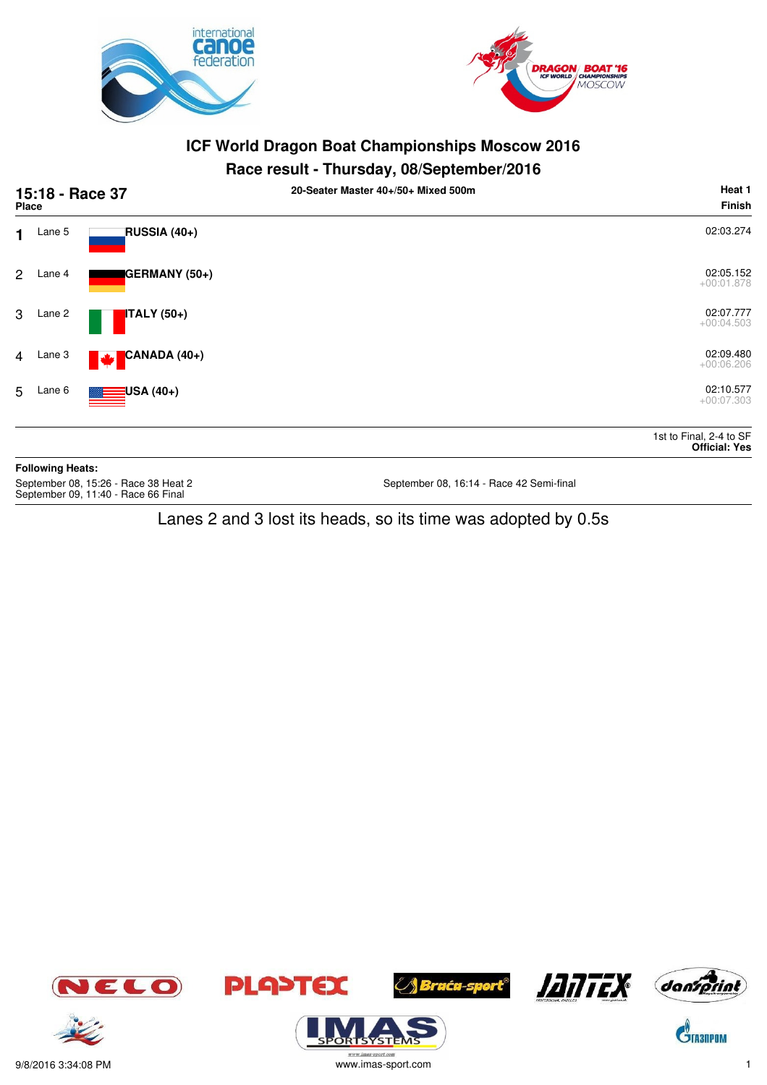



## **Race result - Thursday, 08/September/2016**

| 15:18 - Race 37<br><b>Place</b>                                             |                         |                    | 20-Seater Master 40+/50+ Mixed 500m      | Heat 1<br><b>Finish</b>                         |
|-----------------------------------------------------------------------------|-------------------------|--------------------|------------------------------------------|-------------------------------------------------|
| $\mathbf 1$                                                                 | Lane 5                  | RUSSIA (40+)       |                                          | 02:03.274                                       |
| $\mathbf{2}$                                                                | Lane 4                  | GERMANY (50+)      |                                          | 02:05.152<br>$+00:01.878$                       |
|                                                                             | 3 Lane 2                | <b>ITALY</b> (50+) |                                          | 02:07.777<br>$+00:04.503$                       |
| $\overline{4}$                                                              | Lane 3                  | CANADA (40+)<br>M  |                                          | 02:09.480<br>$+00:06.206$                       |
| 5                                                                           | Lane 6                  | $\equiv$ USA (40+) |                                          | 02:10.577<br>$+00:07.303$                       |
|                                                                             |                         |                    |                                          | 1st to Final, 2-4 to SF<br><b>Official: Yes</b> |
|                                                                             | <b>Following Heats:</b> |                    |                                          |                                                 |
| September 08, 15:26 - Race 38 Heat 2<br>September 09, 11:40 - Race 66 Final |                         |                    | September 08, 16:14 - Race 42 Semi-final |                                                 |

## Lanes 2 and 3 lost its heads, so its time was adopted by 0.5s



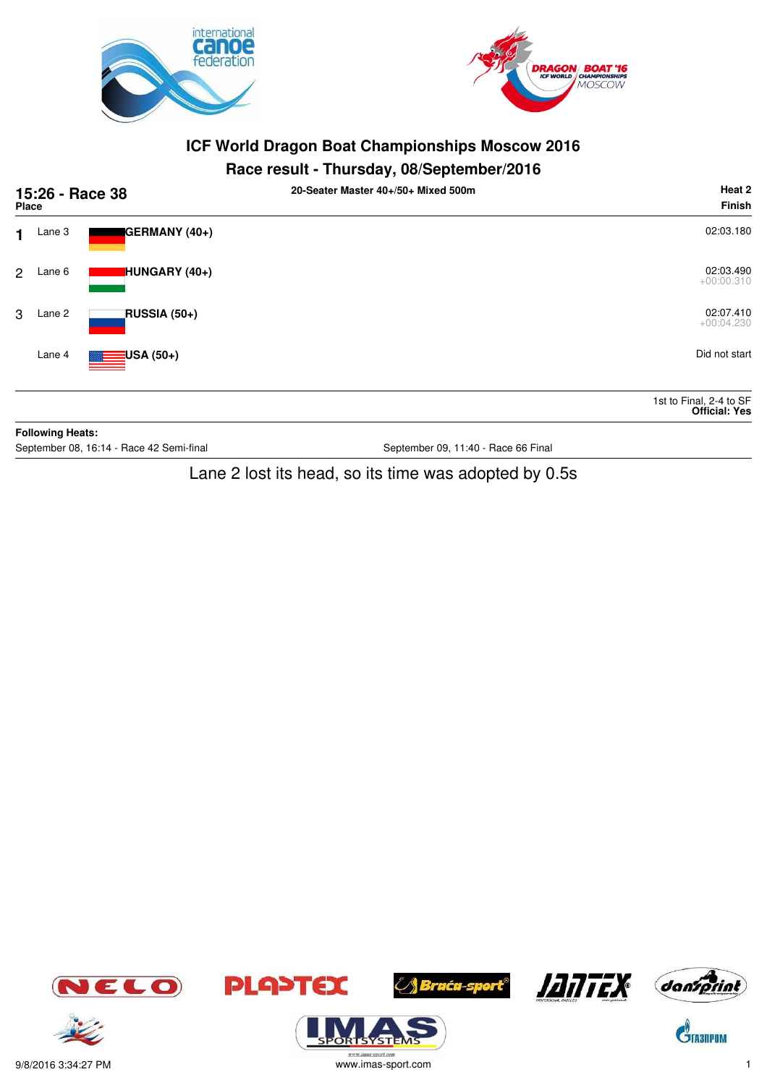



## **Race result - Thursday, 08/September/2016**

|   | 15:26 - Race 38<br>Place |                                          | 20-Seater Master 40+/50+ Mixed 500m | Heat 2<br><b>Finish</b>                         |
|---|--------------------------|------------------------------------------|-------------------------------------|-------------------------------------------------|
| 1 | Lane 3                   | GERMANY (40+)                            |                                     | 02:03.180                                       |
| 2 | Lane 6                   | HUNGARY (40+)                            |                                     | 02:03.490<br>$+00:00.310$                       |
| 3 | Lane 2                   | RUSSIA (50+)                             |                                     | 02:07.410<br>$+00:04.230$                       |
|   | Lane 4                   | $\equiv$ USA (50+)                       |                                     | Did not start                                   |
|   |                          |                                          |                                     | 1st to Final, 2-4 to SF<br><b>Official: Yes</b> |
|   | <b>Following Heats:</b>  |                                          |                                     |                                                 |
|   |                          | September 08, 16:14 - Race 42 Semi-final | September 09, 11:40 - Race 66 Final |                                                 |

Lane 2 lost its head, so its time was adopted by 0.5s



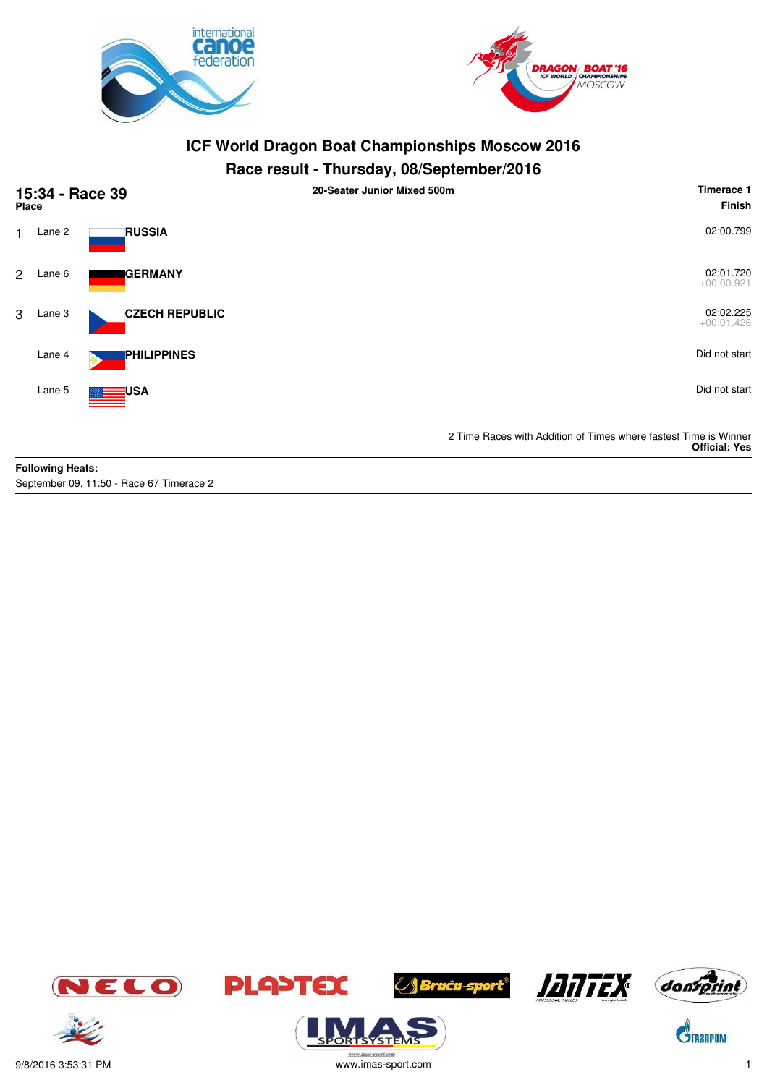



## **Race result - Thursday, 08/September/2016**

| 15:34 - Race 39<br>Place |                         |                       | 20-Seater Junior Mixed 500m | Timerace 1<br>Finish                                                                     |
|--------------------------|-------------------------|-----------------------|-----------------------------|------------------------------------------------------------------------------------------|
| 1.                       | Lane 2                  | <b>RUSSIA</b>         |                             | 02:00.799                                                                                |
| $\overline{2}$           | Lane 6                  | <b>GERMANY</b>        |                             | 02:01.720<br>$+00:00.921$                                                                |
| 3                        | Lane 3                  | <b>CZECH REPUBLIC</b> |                             | 02:02.225<br>$+00:01.426$                                                                |
|                          | Lane 4                  | <b>PHILIPPINES</b>    |                             | Did not start                                                                            |
|                          | Lane 5                  | USA                   |                             | Did not start                                                                            |
|                          |                         |                       |                             | 2 Time Races with Addition of Times where fastest Time is Winner<br><b>Official: Yes</b> |
|                          | <b>Following Heats:</b> |                       |                             |                                                                                          |

September 09, 11:50 - Race 67 Timerace 2









SYSTE







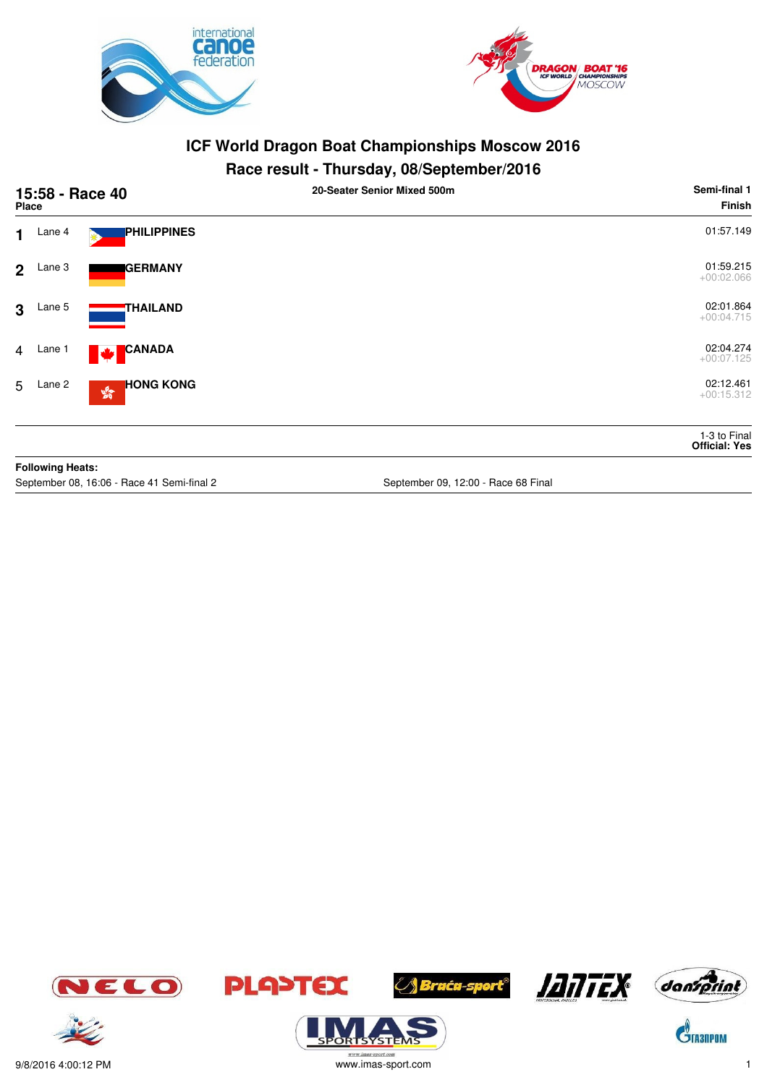



## **Race result - Thursday, 08/September/2016**

| 15:58 - Race 40<br><b>Place</b> |                         |                                                   | 20-Seater Senior Mixed 500m         | Semi-final 1<br><b>Finish</b>        |
|---------------------------------|-------------------------|---------------------------------------------------|-------------------------------------|--------------------------------------|
| $\mathbf 1$                     | Lane 4                  | PHILIPPINES                                       |                                     | 01:57.149                            |
| 2 <sup>1</sup>                  | Lane 3                  | <b>IGERMANY</b>                                   |                                     | 01:59.215<br>$+00:02.066$            |
| $\mathbf{3}$                    | Lane 5                  | <b>THAILAND</b>                                   |                                     | 02:01.864<br>$+00:04.715$            |
| $\overline{4}$                  | Lane 1                  | <b>CANADA</b><br><b>Maria</b>                     |                                     | 02:04.274<br>$+00:07.125$            |
|                                 | 5 Lane 2                | <b>HONG KONG</b><br>$\mathbb{S}^{\mathbb{S}^n}_0$ |                                     | 02:12.461<br>$+00:15.312$            |
|                                 |                         |                                                   |                                     | 1-3 to Final<br><b>Official: Yes</b> |
|                                 | <b>Following Heats:</b> |                                                   |                                     |                                      |
|                                 |                         | September 08, 16:06 - Race 41 Semi-final 2        | September 09, 12:00 - Race 68 Final |                                      |









**TSYSTE** 







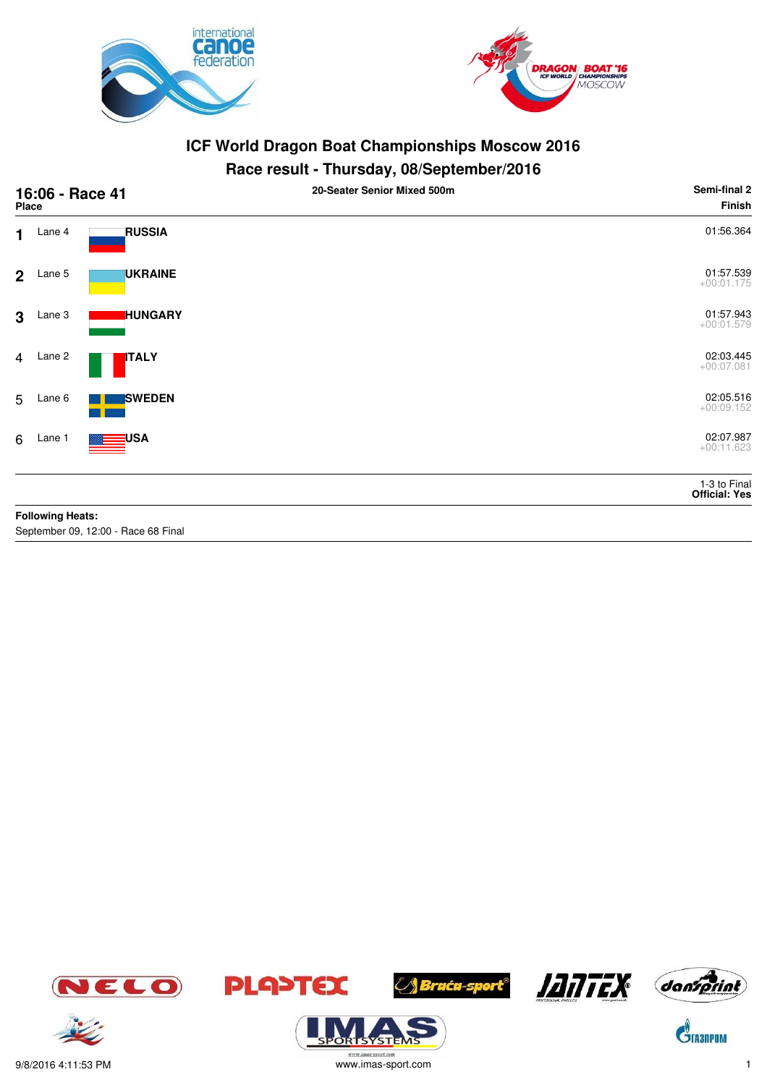



## **Race result - Thursday, 08/September/2016**

| 16:06 - Race 41<br>Place |                         |                                     | 20-Seater Senior Mixed 500m | Semi-final 2<br>Finish        |
|--------------------------|-------------------------|-------------------------------------|-----------------------------|-------------------------------|
| 1.                       | Lane 4                  | <b>RUSSIA</b>                       |                             | 01:56.364                     |
| 2 <sup>2</sup>           | Lane 5                  | <b>UKRAINE</b>                      |                             | 01:57.539<br>$+00:01.175$     |
| 3                        | Lane 3                  | <b>HUNGARY</b>                      |                             | 01:57.943<br>$+00:01.579$     |
| $\overline{4}$           | Lane 2                  | <b>ITALY</b>                        |                             | 02:03.445<br>$+00:07.081$     |
| 5                        | Lane 6                  | <b>SWEDEN</b>                       |                             | 02:05.516<br>$+00:09.152$     |
| 6                        | Lane 1                  | USA                                 |                             | 02:07.987<br>$+00:11.623$     |
|                          |                         |                                     |                             | 1-3 to Final<br>Official: Yes |
|                          | <b>Following Heats:</b> |                                     |                             |                               |
|                          |                         | September 09, 12:00 - Race 68 Final |                             |                               |







**ORISYSTE** 









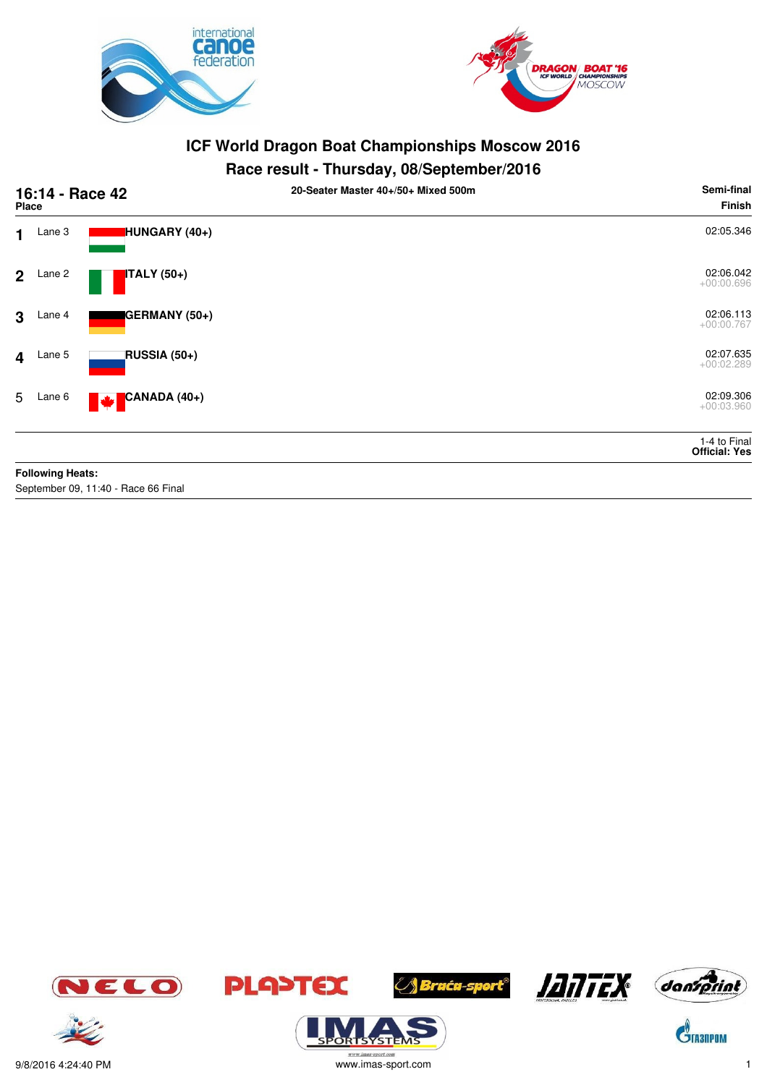



#### **Race result - Thursday, 08/September/2016**

| 16:14 - Race 42<br><b>Place</b> |                         |                                     | 20-Seater Master 40+/50+ Mixed 500m | Semi-final<br><b>Finish</b>          |
|---------------------------------|-------------------------|-------------------------------------|-------------------------------------|--------------------------------------|
| 1                               | Lane 3                  | HUNGARY (40+)                       |                                     | 02:05.346                            |
| $\overline{2}$                  | Lane 2                  | <b>ITALY</b> (50+)                  |                                     | 02:06.042<br>$+00:00.696$            |
| $\mathbf{3}$                    | Lane 4                  | GERMANY (50+)                       |                                     | 02:06.113<br>$+00:00.767$            |
| $\overline{\mathbf{4}}$         | Lane 5                  | RUSSIA (50+)                        |                                     | 02:07.635<br>$+00:02.289$            |
| 5                               | Lane 6                  | CANADA (40+)<br><b>A</b>            |                                     | 02:09.306<br>$+00:03.960$            |
|                                 |                         |                                     |                                     | 1-4 to Final<br><b>Official: Yes</b> |
|                                 | <b>Following Heats:</b> |                                     |                                     |                                      |
|                                 |                         | September 09, 11:40 - Race 66 Final |                                     |                                      |







ORTSYSTER







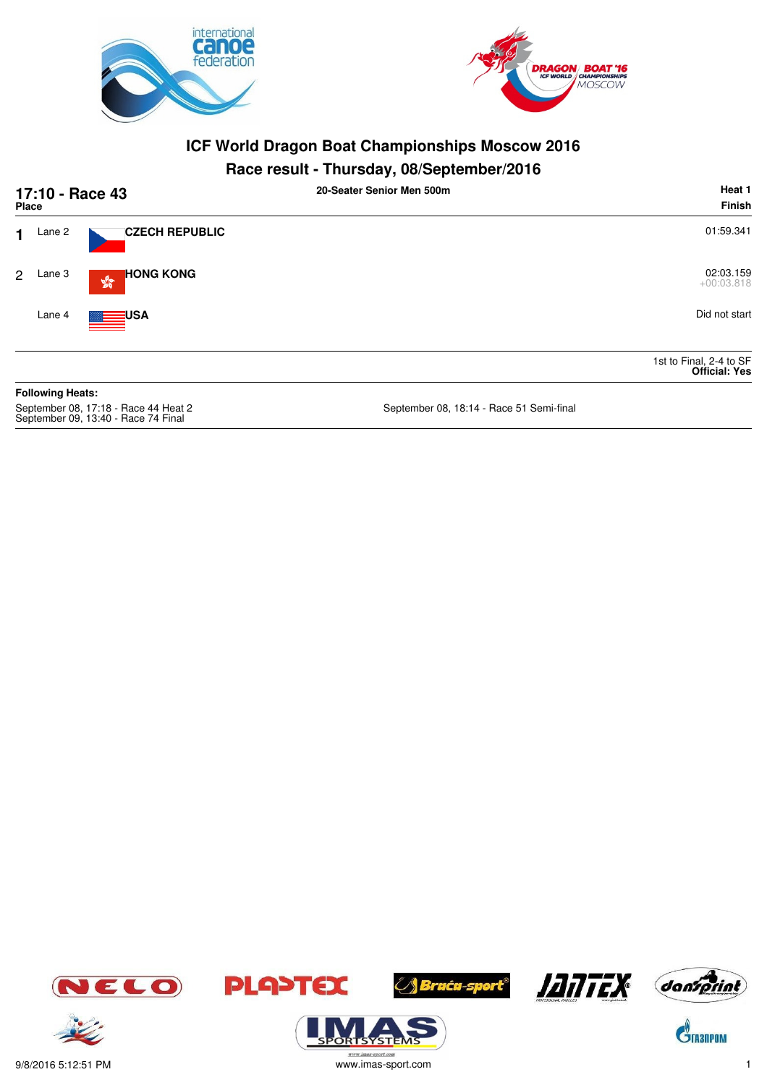



## **Race result - Thursday, 08/September/2016**

| Place |                         | 17:10 - Race 43                                            | 20-Seater Senior Men 500m | Heat 1<br>Finish                                |
|-------|-------------------------|------------------------------------------------------------|---------------------------|-------------------------------------------------|
| 1     | Lane 2                  | <b>CZECH REPUBLIC</b>                                      |                           | 01:59.341                                       |
| 2     | Lane 3                  | <b>HONG KONG</b><br>$\mathbf{S}^{\mathbf{G}}_{\mathbf{G}}$ |                           | 02:03.159<br>$+00:03.818$                       |
|       | Lane 4                  | <b>ENGINEERING A</b>                                       |                           | Did not start                                   |
|       |                         |                                                            |                           | 1st to Final, 2-4 to SF<br><b>Official: Yes</b> |
|       | <b>Following Heats:</b> |                                                            |                           |                                                 |

September 08, 17:18 - Race 44 Heat 2<br>September 09, 13:40 - Race 74 Final

September 08, 18:14 - Race 51 Semi-final















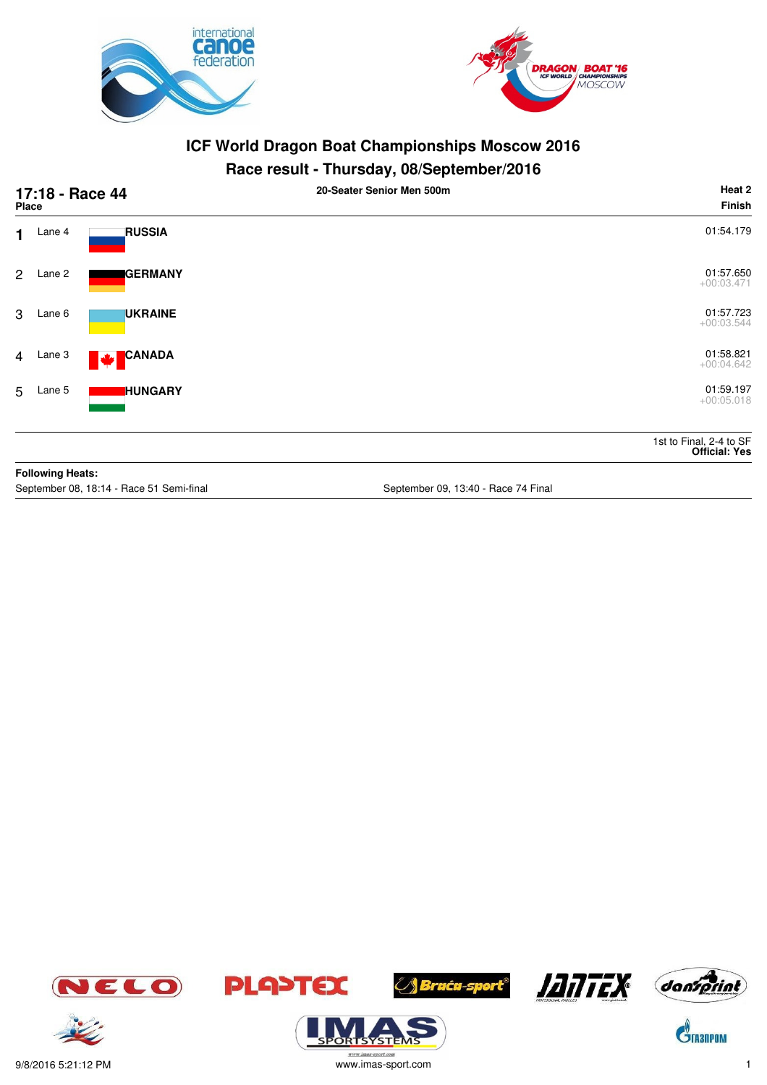



## **Race result - Thursday, 08/September/2016**

| 17:18 - Race 44<br><b>Place</b> |                         |                                          | 20-Seater Senior Men 500m           | Heat 2<br><b>Finish</b>                         |
|---------------------------------|-------------------------|------------------------------------------|-------------------------------------|-------------------------------------------------|
| $\mathbf 1$                     | Lane 4                  | <b>RUSSIA</b>                            |                                     | 01:54.179                                       |
| 2 <sup>1</sup>                  | Lane 2                  | <b>GERMANY</b>                           |                                     | 01:57.650<br>$+00:03.471$                       |
| 3                               | Lane 6                  | <b>UKRAINE</b>                           |                                     | 01:57.723<br>$+00:03.544$                       |
|                                 | 4 Lane 3                | CANADA<br>M                              |                                     | 01:58.821<br>$+00:04.642$                       |
|                                 | 5 Lane 5                | <b>HUNGARY</b>                           |                                     | 01:59.197<br>$+00:05.018$                       |
|                                 |                         |                                          |                                     | 1st to Final, 2-4 to SF<br><b>Official: Yes</b> |
|                                 | <b>Following Heats:</b> |                                          |                                     |                                                 |
|                                 |                         | September 08, 18:14 - Race 51 Semi-final | September 09, 13:40 - Race 74 Final |                                                 |











 $\mathbf{\hat{S}}$ TA3NPOM

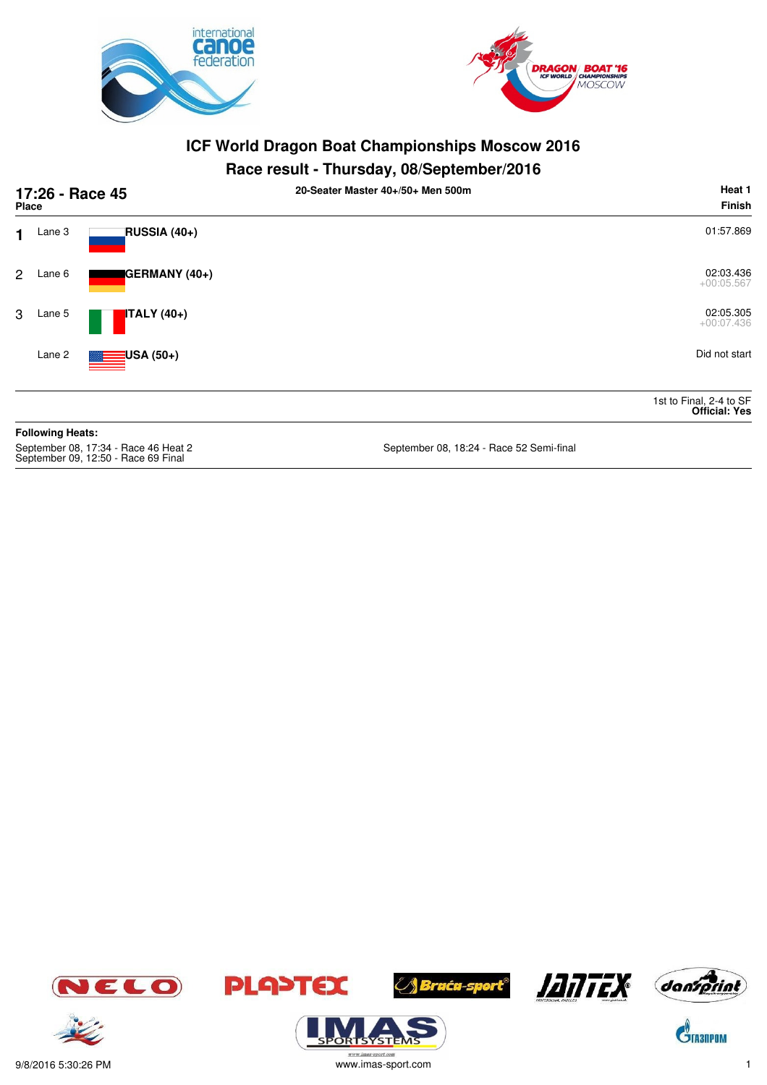



## **Race result - Thursday, 08/September/2016**

| 17:26 - Race 45<br><b>Place</b> |                         |                                     | 20-Seater Master 40+/50+ Men 500m        | Heat 1<br><b>Finish</b>                         |
|---------------------------------|-------------------------|-------------------------------------|------------------------------------------|-------------------------------------------------|
| 1                               | Lane 3                  | RUSSIA (40+)                        |                                          | 01:57.869                                       |
| $\mathbf{2}$                    | Lane 6                  | GERMANY (40+)                       |                                          | 02:03.436<br>$+00:05.567$                       |
| 3                               | Lane 5                  | $\blacksquare$ ITALY (40+)          |                                          | 02:05.305<br>$+00:07.436$                       |
|                                 | Lane 2                  | $\equiv$ USA (50+)                  |                                          | Did not start                                   |
|                                 |                         |                                     |                                          | 1st to Final, 2-4 to SF<br><b>Official: Yes</b> |
|                                 | <b>Following Heats:</b> |                                     |                                          |                                                 |
|                                 |                         | Sentember 08 17:34 - Race 46 Heat 2 | Sentember 08, 18:24 - Race 52 Semi-final |                                                 |

September 09, 12:50 - Race 40 Final

18, 18:24 - Race 52 Semi-final









**YSTE** 



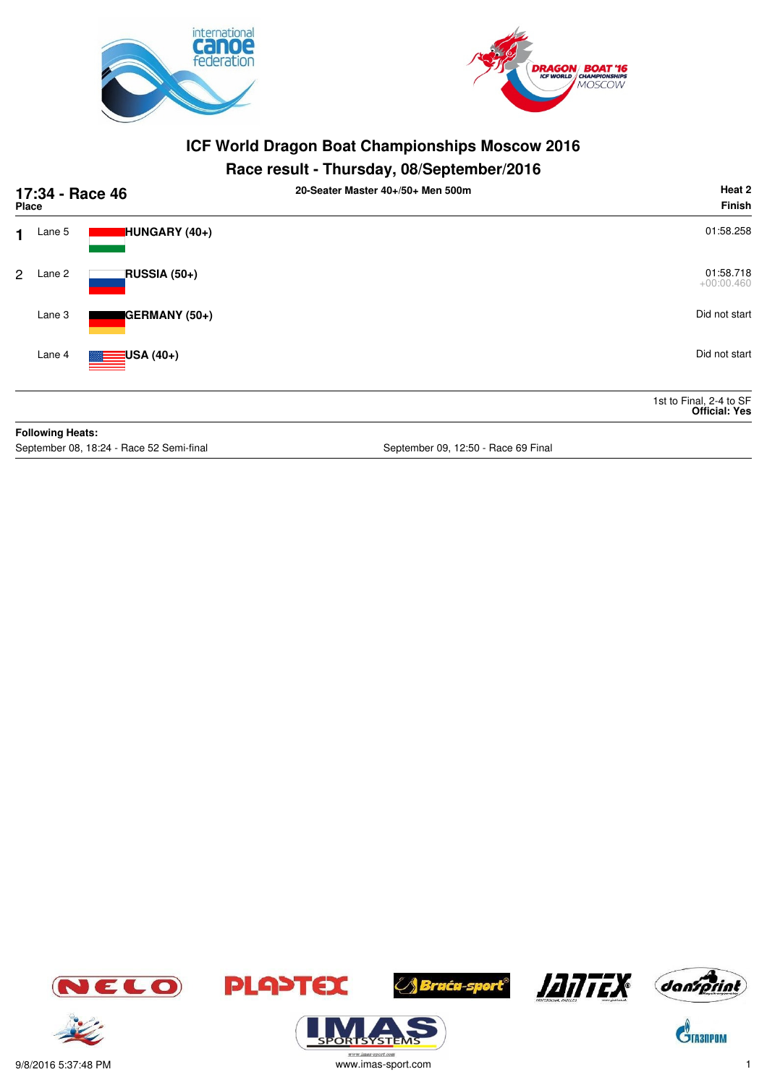



## **Race result - Thursday, 08/September/2016**

|                | Place                   | 17:34 - Race 46                          | 20-Seater Master 40+/50+ Men 500m   | Heat 2<br><b>Finish</b>                         |
|----------------|-------------------------|------------------------------------------|-------------------------------------|-------------------------------------------------|
| 1              | Lane 5                  | HUNGARY (40+)                            |                                     | 01:58.258                                       |
| $\overline{2}$ | Lane 2                  | RUSSIA (50+)                             |                                     | 01:58.718<br>$+00:00.460$                       |
|                | Lane 3                  | GERMANY (50+)                            |                                     | Did not start                                   |
|                | Lane 4                  | $\equiv$ USA (40+)                       |                                     | Did not start                                   |
|                |                         |                                          |                                     | 1st to Final, 2-4 to SF<br><b>Official: Yes</b> |
|                | <b>Following Heats:</b> |                                          |                                     |                                                 |
|                |                         | September 08, 18:24 - Race 52 Semi-final | September 09, 12:50 - Race 69 Final |                                                 |









**ORISYSTE** 







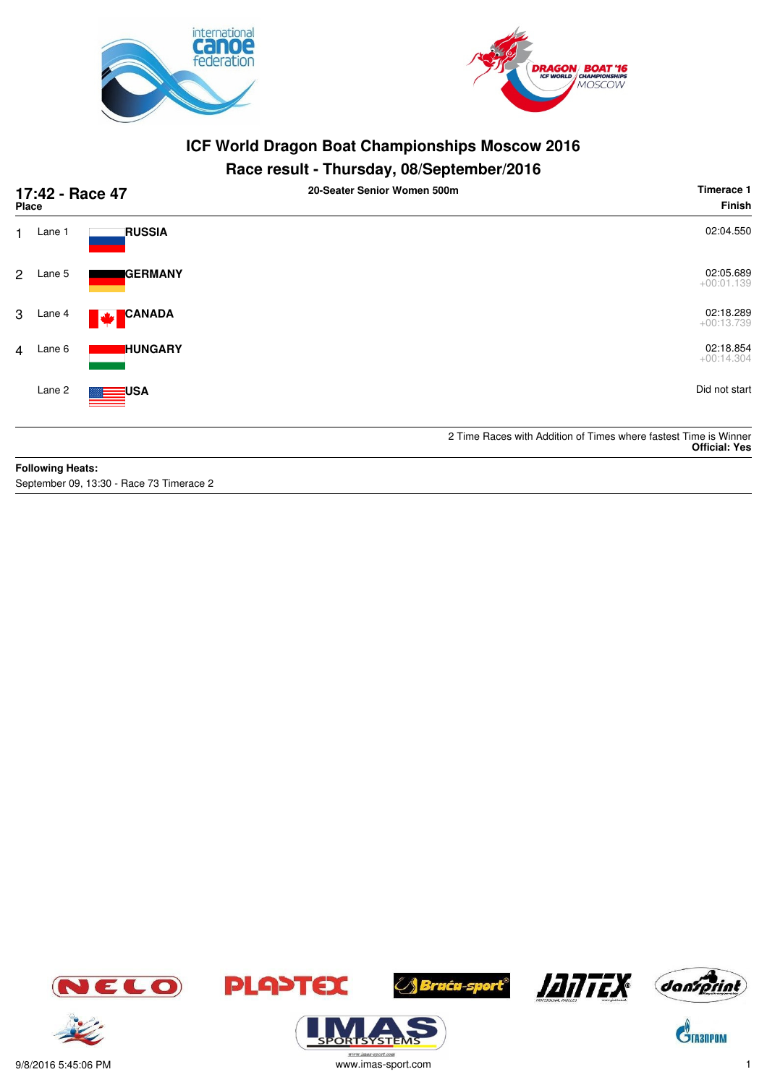



## **Race result - Thursday, 08/September/2016**

|                | 17:42 - Race 47<br><b>Place</b> |                    | 20-Seater Senior Women 500m | Timerace 1<br>Finish                                                                     |
|----------------|---------------------------------|--------------------|-----------------------------|------------------------------------------------------------------------------------------|
| 1              | Lane 1                          | <b>RUSSIA</b>      |                             | 02:04.550                                                                                |
| $\mathbf{2}$   | Lane 5                          | <b>I</b> GERMANY   |                             | 02:05.689<br>$+00:01.139$                                                                |
| 3              | Lane 4                          | <b>CANADA</b><br>M |                             | 02:18.289<br>$+00:13.739$                                                                |
| $\overline{4}$ | Lane 6                          | <b>IHUNGARY</b>    |                             | 02:18.854<br>$+00:14.304$                                                                |
|                | Lane 2                          | USA                |                             | Did not start                                                                            |
|                |                                 |                    |                             | 2 Time Races with Addition of Times where fastest Time is Winner<br><b>Official: Yes</b> |
|                | <b>Following Heats:</b>         |                    |                             |                                                                                          |

September 09, 13:30 - Race 73 Timerace 2









*(Sruću-sport®* 





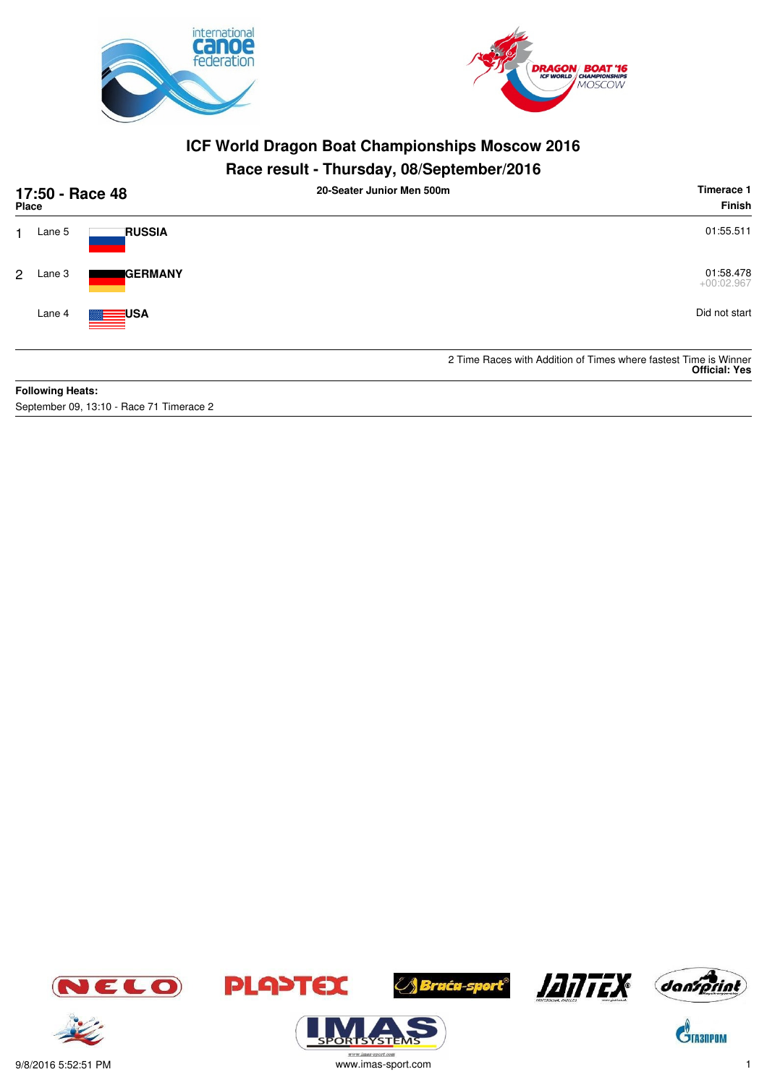



## **Race result - Thursday, 08/September/2016**

| 17:50 - Race 48<br><b>Place</b> |                         |                      | 20-Seater Junior Men 500m | Timerace 1<br>Finish                                                                     |
|---------------------------------|-------------------------|----------------------|---------------------------|------------------------------------------------------------------------------------------|
|                                 | Lane 5                  | <b>RUSSIA</b>        |                           | 01:55.511                                                                                |
| 2                               | Lane 3                  | <b>IGERMANY</b>      |                           | 01:58.478<br>$+00:02.967$                                                                |
|                                 | Lane 4                  | <b>ENGINEERING A</b> |                           | Did not start                                                                            |
|                                 |                         |                      |                           | 2 Time Races with Addition of Times where fastest Time is Winner<br><b>Official: Yes</b> |
|                                 | <b>Following Heats:</b> |                      |                           |                                                                                          |

September 09, 13:10 - Race 71 Timerace 2









**ORISYSTE** 





 $\mathbf{\hat{G}}$ TA3NPOM



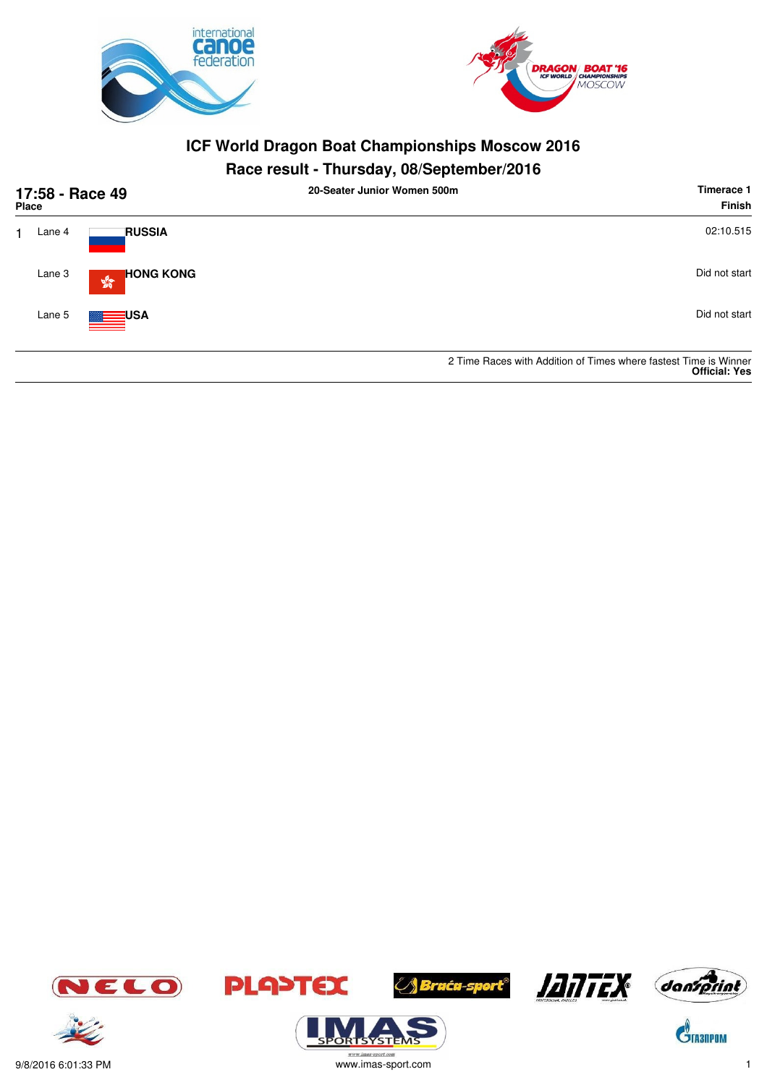



## **Race result - Thursday, 08/September/2016**

| 17:58 - Race 49<br><b>Place</b> |                                                  | 20-Seater Junior Women 500m | Timerace 1<br><b>Finish</b>                                                              |
|---------------------------------|--------------------------------------------------|-----------------------------|------------------------------------------------------------------------------------------|
| Lane 4                          | <b>RUSSIA</b>                                    |                             | 02:10.515                                                                                |
| Lane 3                          | <b>HONG KONG</b><br>$\frac{\sqrt{3}}{2\sqrt{3}}$ |                             | Did not start                                                                            |
| Lane 5                          | <b>MARK SERIES USA</b>                           |                             | Did not start                                                                            |
|                                 |                                                  |                             | 2 Time Races with Addition of Times where fastest Time is Winner<br><b>Official: Yes</b> |





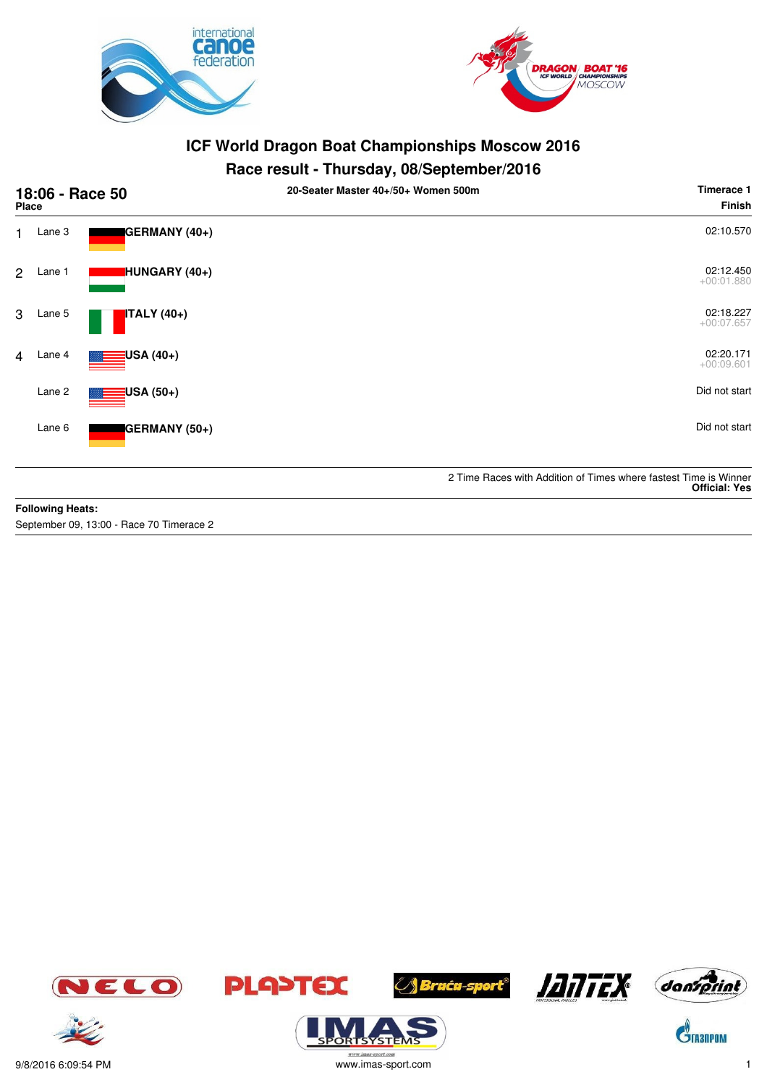



## **Race result - Thursday, 08/September/2016**

| 18:06 - Race 50<br><b>Place</b> |        |                          | 20-Seater Master 40+/50+ Women 500m | Timerace 1<br><b>Finish</b>                                                              |
|---------------------------------|--------|--------------------------|-------------------------------------|------------------------------------------------------------------------------------------|
| 1                               | Lane 3 | GERMANY (40+)            |                                     | 02:10.570                                                                                |
| 2                               | Lane 1 | HUNGARY (40+)            |                                     | 02:12.450<br>$+00:01.880$                                                                |
| 3                               | Lane 5 | <b>ITALY</b> (40+)       |                                     | 02:18.227<br>$+00:07.657$                                                                |
| $\overline{4}$                  | Lane 4 | <mark>:</mark> USA (40+) |                                     | 02:20.171<br>$+00:09.601$                                                                |
|                                 | Lane 2 | USA (50+)                |                                     | Did not start                                                                            |
|                                 | Lane 6 | GERMANY (50+)            |                                     | Did not start                                                                            |
|                                 |        |                          |                                     | 2 Time Races with Addition of Times where fastest Time is Winner<br><b>Official: Yes</b> |

#### **Following Heats:**

September 09, 13:00 - Race 70 Timerace 2









**ORISYSTE** 





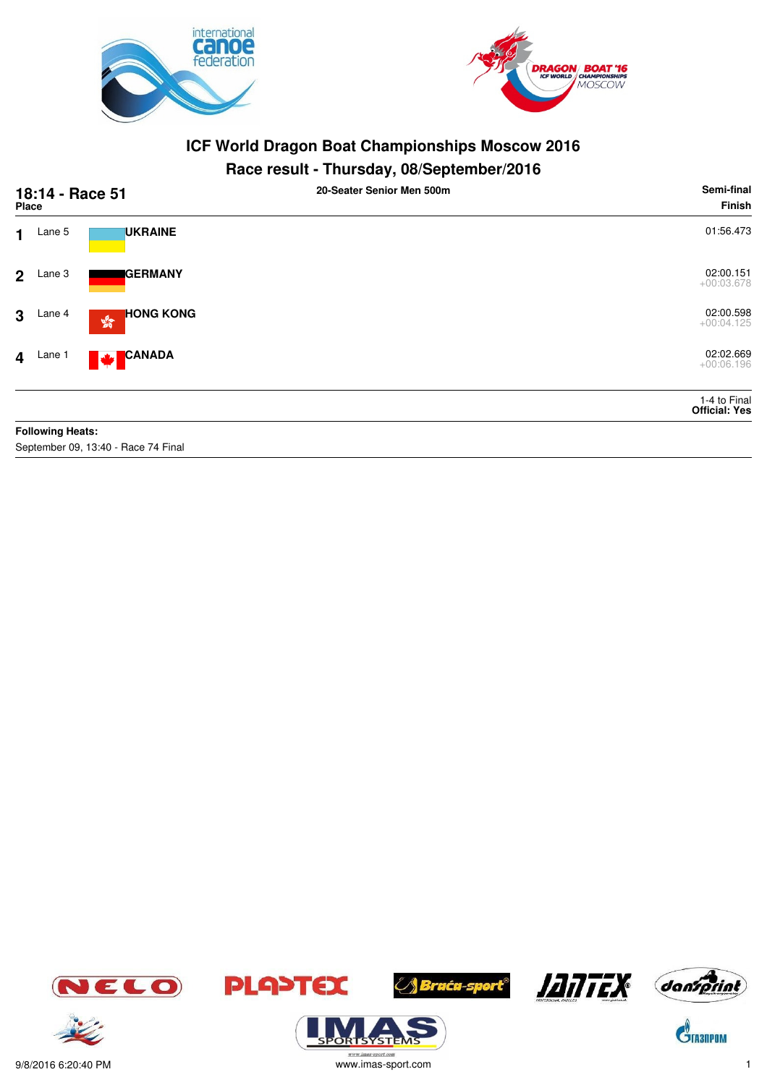



## **Race result - Thursday, 08/September/2016**

| 18:14 - Race 51<br><b>Place</b> |                         |                                                                         | . .<br>20-Seater Senior Men 500m | Semi-final<br>Finish                 |
|---------------------------------|-------------------------|-------------------------------------------------------------------------|----------------------------------|--------------------------------------|
| $\blacksquare$                  | Lane 5                  | <b>UKRAINE</b>                                                          |                                  | 01:56.473                            |
| 2 <sup>1</sup>                  | Lane 3                  | <b>I</b> GERMANY                                                        |                                  | 02:00.151<br>$+00:03.678$            |
| 3 <sup>1</sup>                  | Lane 4                  | <b>HONG KONG</b><br>$\mathbb{S}^{\mathbb{S}^{\mathbb{R}}}_{\mathbb{Q}}$ |                                  | 02:00.598<br>$+00:04.125$            |
|                                 | $4$ Lane 1              | <b>CANADA</b><br>M                                                      |                                  | 02:02.669<br>$+00:06.196$            |
|                                 |                         |                                                                         |                                  | 1-4 to Final<br><b>Official: Yes</b> |
|                                 | <b>Following Heats:</b> |                                                                         |                                  |                                      |

September 09, 13:40 - Race 74 Final